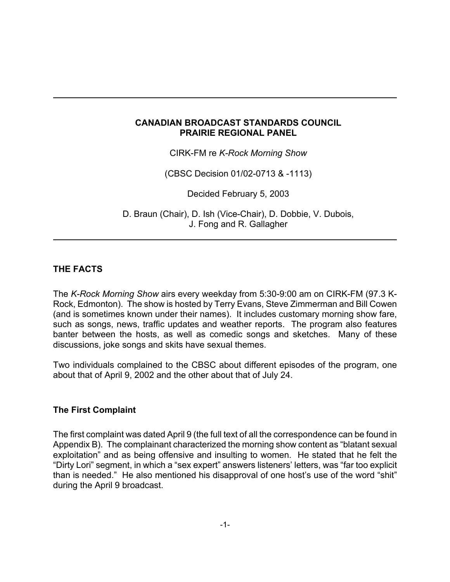## **CANADIAN BROADCAST STANDARDS COUNCIL PRAIRIE REGIONAL PANEL**

CIRK-FM re *K-Rock Morning Show*

(CBSC Decision 01/02-0713 & -1113)

Decided February 5, 2003

D. Braun (Chair), D. Ish (Vice-Chair), D. Dobbie, V. Dubois, J. Fong and R. Gallagher

## **THE FACTS**

The *K-Rock Morning Show* airs every weekday from 5:30-9:00 am on CIRK-FM (97.3 K-Rock, Edmonton). The show is hosted by Terry Evans, Steve Zimmerman and Bill Cowen (and is sometimes known under their names). It includes customary morning show fare, such as songs, news, traffic updates and weather reports. The program also features banter between the hosts, as well as comedic songs and sketches. Many of these discussions, joke songs and skits have sexual themes.

Two individuals complained to the CBSC about different episodes of the program, one about that of April 9, 2002 and the other about that of July 24.

## **The First Complaint**

The first complaint was dated April 9 (the full text of all the correspondence can be found in Appendix B). The complainant characterized the morning show content as "blatant sexual exploitation" and as being offensive and insulting to women. He stated that he felt the "Dirty Lori" segment, in which a "sex expert" answers listeners' letters, was "far too explicit than is needed." He also mentioned his disapproval of one host's use of the word "shit" during the April 9 broadcast.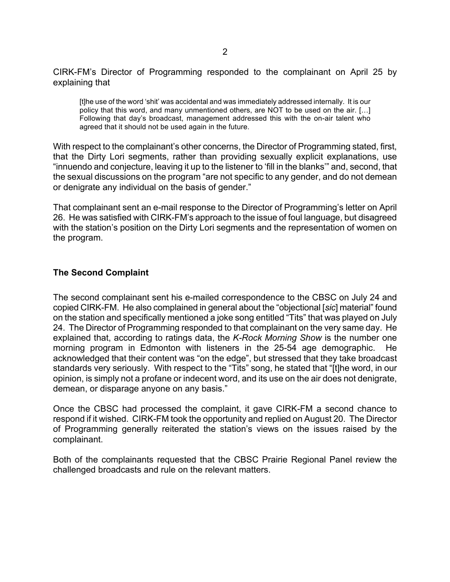CIRK-FM's Director of Programming responded to the complainant on April 25 by explaining that

[t]he use of the word 'shit' was accidental and was immediately addressed internally. It is our policy that this word, and many unmentioned others, are NOT to be used on the air. […] Following that day's broadcast, management addressed this with the on-air talent who agreed that it should not be used again in the future.

With respect to the complainant's other concerns, the Director of Programming stated, first, that the Dirty Lori segments, rather than providing sexually explicit explanations, use "innuendo and conjecture, leaving it up to the listener to 'fill in the blanks'" and, second, that the sexual discussions on the program "are not specific to any gender, and do not demean or denigrate any individual on the basis of gender."

That complainant sent an e-mail response to the Director of Programming's letter on April 26. He was satisfied with CIRK-FM's approach to the issue of foul language, but disagreed with the station's position on the Dirty Lori segments and the representation of women on the program.

### **The Second Complaint**

The second complainant sent his e-mailed correspondence to the CBSC on July 24 and copied CIRK-FM. He also complained in general about the "objectional [*sic*] material" found on the station and specifically mentioned a joke song entitled "Tits" that was played on July 24. The Director of Programming responded to that complainant on the very same day. He explained that, according to ratings data, the *K-Rock Morning Show* is the number one morning program in Edmonton with listeners in the 25-54 age demographic. He acknowledged that their content was "on the edge", but stressed that they take broadcast standards very seriously. With respect to the "Tits" song, he stated that "[t]he word, in our opinion, is simply not a profane or indecent word, and its use on the air does not denigrate, demean, or disparage anyone on any basis."

Once the CBSC had processed the complaint, it gave CIRK-FM a second chance to respond if it wished. CIRK-FM took the opportunity and replied on August 20. The Director of Programming generally reiterated the station's views on the issues raised by the complainant.

Both of the complainants requested that the CBSC Prairie Regional Panel review the challenged broadcasts and rule on the relevant matters.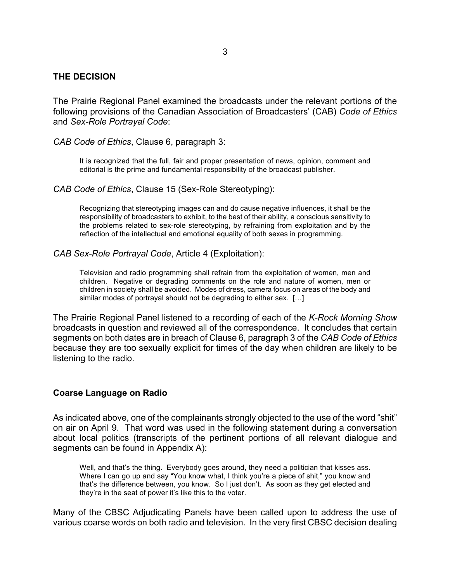### **THE DECISION**

The Prairie Regional Panel examined the broadcasts under the relevant portions of the following provisions of the Canadian Association of Broadcasters' (CAB) *Code of Ethics* and *Sex-Role Portrayal Code*:

*CAB Code of Ethics*, Clause 6, paragraph 3:

It is recognized that the full, fair and proper presentation of news, opinion, comment and editorial is the prime and fundamental responsibility of the broadcast publisher.

*CAB Code of Ethics*, Clause 15 (Sex-Role Stereotyping):

Recognizing that stereotyping images can and do cause negative influences, it shall be the responsibility of broadcasters to exhibit, to the best of their ability, a conscious sensitivity to the problems related to sex-role stereotyping, by refraining from exploitation and by the reflection of the intellectual and emotional equality of both sexes in programming.

*CAB Sex-Role Portrayal Code*, Article 4 (Exploitation):

Television and radio programming shall refrain from the exploitation of women, men and children. Negative or degrading comments on the role and nature of women, men or children in society shall be avoided. Modes of dress, camera focus on areas of the body and similar modes of portrayal should not be degrading to either sex. […]

The Prairie Regional Panel listened to a recording of each of the *K-Rock Morning Show* broadcasts in question and reviewed all of the correspondence. It concludes that certain segments on both dates are in breach of Clause 6, paragraph 3 of the *CAB Code of Ethics* because they are too sexually explicit for times of the day when children are likely to be listening to the radio.

### **Coarse Language on Radio**

As indicated above, one of the complainants strongly objected to the use of the word "shit" on air on April 9. That word was used in the following statement during a conversation about local politics (transcripts of the pertinent portions of all relevant dialogue and segments can be found in Appendix A):

Well, and that's the thing. Everybody goes around, they need a politician that kisses ass. Where I can go up and say "You know what, I think you're a piece of shit," you know and that's the difference between, you know. So I just don't. As soon as they get elected and they're in the seat of power it's like this to the voter.

Many of the CBSC Adjudicating Panels have been called upon to address the use of various coarse words on both radio and television. In the very first CBSC decision dealing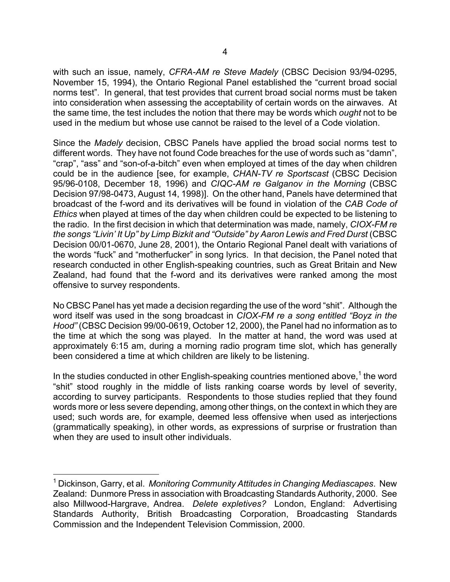with such an issue, namely, *CFRA-AM re Steve Madely* (CBSC Decision 93/94-0295, November 15, 1994), the Ontario Regional Panel established the "current broad social norms test". In general, that test provides that current broad social norms must be taken into consideration when assessing the acceptability of certain words on the airwaves. At the same time, the test includes the notion that there may be words which *ought* not to be used in the medium but whose use cannot be raised to the level of a Code violation.

Since the *Madely* decision, CBSC Panels have applied the broad social norms test to different words. They have not found Code breaches for the use of words such as "damn", "crap", "ass" and "son-of-a-bitch" even when employed at times of the day when children could be in the audience [see, for example, *CHAN-TV re Sportscast* (CBSC Decision 95/96-0108, December 18, 1996) and *CIQC-AM re Galganov in the Morning* (CBSC Decision 97/98-0473, August 14, 1998)]. On the other hand, Panels have determined that broadcast of the f-word and its derivatives will be found in violation of the *CAB Code of Ethics* when played at times of the day when children could be expected to be listening to the radio. In the first decision in which that determination was made, namely, *CIOX-FM re the songs "Livin' It Up" by Limp Bizkit and "Outside" by Aaron Lewis and Fred Durst* (CBSC Decision 00/01-0670, June 28, 2001), the Ontario Regional Panel dealt with variations of the words "fuck" and "motherfucker" in song lyrics. In that decision, the Panel noted that research conducted in other English-speaking countries, such as Great Britain and New Zealand, had found that the f-word and its derivatives were ranked among the most offensive to survey respondents.

No CBSC Panel has yet made a decision regarding the use of the word "shit". Although the word itself was used in the song broadcast in *CIOX-FM re a song entitled "Boyz in the Hood"* (CBSC Decision 99/00-0619, October 12, 2000), the Panel had no information as to the time at which the song was played. In the matter at hand, the word was used at approximately 6:15 am, during a morning radio program time slot, which has generally been considered a time at which children are likely to be listening.

In the studies conducted in other English-speaking countries mentioned above.<sup>1</sup> the word "shit" stood roughly in the middle of lists ranking coarse words by level of severity, according to survey participants. Respondents to those studies replied that they found words more or less severe depending, among other things, on the context in which they are used; such words are, for example, deemed less offensive when used as interjections (grammatically speaking), in other words, as expressions of surprise or frustration than when they are used to insult other individuals.

 <sup>1</sup> Dickinson, Garry, et al. *Monitoring Community Attitudes in Changing Mediascapes*. New Zealand: Dunmore Press in association with Broadcasting Standards Authority, 2000. See also Millwood-Hargrave, Andrea. *Delete expletives?* London, England: Advertising Standards Authority, British Broadcasting Corporation, Broadcasting Standards Commission and the Independent Television Commission, 2000.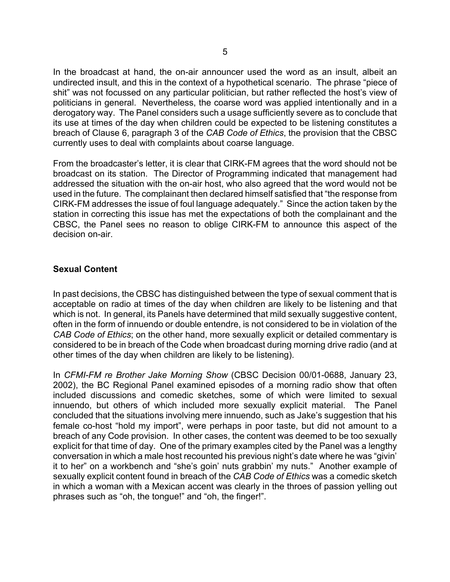In the broadcast at hand, the on-air announcer used the word as an insult, albeit an undirected insult, and this in the context of a hypothetical scenario. The phrase "piece of shit" was not focussed on any particular politician, but rather reflected the host's view of politicians in general. Nevertheless, the coarse word was applied intentionally and in a derogatory way. The Panel considers such a usage sufficiently severe as to conclude that its use at times of the day when children could be expected to be listening constitutes a breach of Clause 6, paragraph 3 of the *CAB Code of Ethics*, the provision that the CBSC currently uses to deal with complaints about coarse language.

From the broadcaster's letter, it is clear that CIRK-FM agrees that the word should not be broadcast on its station. The Director of Programming indicated that management had addressed the situation with the on-air host, who also agreed that the word would not be used in the future. The complainant then declared himself satisfied that "the response from CIRK-FM addresses the issue of foul language adequately." Since the action taken by the station in correcting this issue has met the expectations of both the complainant and the CBSC, the Panel sees no reason to oblige CIRK-FM to announce this aspect of the decision on-air.

### **Sexual Content**

In past decisions, the CBSC has distinguished between the type of sexual comment that is acceptable on radio at times of the day when children are likely to be listening and that which is not. In general, its Panels have determined that mild sexually suggestive content, often in the form of innuendo or double entendre, is not considered to be in violation of the *CAB Code of Ethics*; on the other hand, more sexually explicit or detailed commentary is considered to be in breach of the Code when broadcast during morning drive radio (and at other times of the day when children are likely to be listening).

In *CFMI-FM re Brother Jake Morning Show* (CBSC Decision 00/01-0688, January 23, 2002), the BC Regional Panel examined episodes of a morning radio show that often included discussions and comedic sketches, some of which were limited to sexual innuendo, but others of which included more sexually explicit material. The Panel concluded that the situations involving mere innuendo, such as Jake's suggestion that his female co-host "hold my import", were perhaps in poor taste, but did not amount to a breach of any Code provision. In other cases, the content was deemed to be too sexually explicit for that time of day. One of the primary examples cited by the Panel was a lengthy conversation in which a male host recounted his previous night's date where he was "givin' it to her" on a workbench and "she's goin' nuts grabbin' my nuts." Another example of sexually explicit content found in breach of the *CAB Code of Ethics* was a comedic sketch in which a woman with a Mexican accent was clearly in the throes of passion yelling out phrases such as "oh, the tongue!" and "oh, the finger!".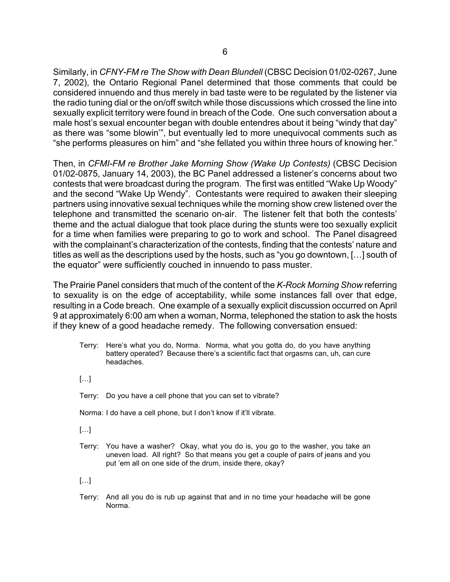Similarly, in *CFNY-FM re The Show with Dean Blundell* (CBSC Decision 01/02-0267, June 7, 2002), the Ontario Regional Panel determined that those comments that could be considered innuendo and thus merely in bad taste were to be regulated by the listener via the radio tuning dial or the on/off switch while those discussions which crossed the line into sexually explicit territory were found in breach of the Code. One such conversation about a male host's sexual encounter began with double entendres about it being "windy that day" as there was "some blowin'", but eventually led to more unequivocal comments such as "she performs pleasures on him" and "she fellated you within three hours of knowing her."

Then, in *CFMI-FM re Brother Jake Morning Show (Wake Up Contests)* (CBSC Decision 01/02-0875, January 14, 2003), the BC Panel addressed a listener's concerns about two contests that were broadcast during the program. The first was entitled "Wake Up Woody" and the second "Wake Up Wendy". Contestants were required to awaken their sleeping partners using innovative sexual techniques while the morning show crew listened over the telephone and transmitted the scenario on-air. The listener felt that both the contests' theme and the actual dialogue that took place during the stunts were too sexually explicit for a time when families were preparing to go to work and school. The Panel disagreed with the complainant's characterization of the contests, finding that the contests' nature and titles as well as the descriptions used by the hosts, such as "you go downtown, […] south of the equator" were sufficiently couched in innuendo to pass muster.

The Prairie Panel considers that much of the content of the *K-Rock Morning Show* referring to sexuality is on the edge of acceptability, while some instances fall over that edge, resulting in a Code breach. One example of a sexually explicit discussion occurred on April 9 at approximately 6:00 am when a woman, Norma, telephoned the station to ask the hosts if they knew of a good headache remedy. The following conversation ensued:

Terry: Here's what you do, Norma. Norma, what you gotta do, do you have anything battery operated? Because there's a scientific fact that orgasms can, uh, can cure headaches.

[…]

Terry: Do you have a cell phone that you can set to vibrate?

Norma: I do have a cell phone, but I don't know if it'll vibrate.

[…]

Terry: You have a washer? Okay, what you do is, you go to the washer, you take an uneven load. All right? So that means you get a couple of pairs of jeans and you put 'em all on one side of the drum, inside there, okay?

[…]

Terry: And all you do is rub up against that and in no time your headache will be gone Norma.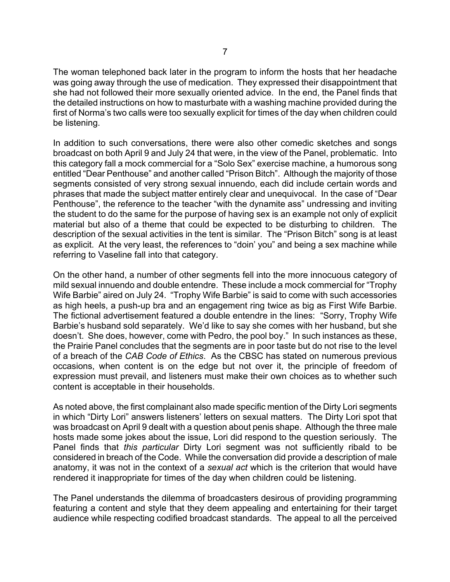The woman telephoned back later in the program to inform the hosts that her headache was going away through the use of medication. They expressed their disappointment that she had not followed their more sexually oriented advice. In the end, the Panel finds that the detailed instructions on how to masturbate with a washing machine provided during the first of Norma's two calls were too sexually explicit for times of the day when children could be listening.

In addition to such conversations, there were also other comedic sketches and songs broadcast on both April 9 and July 24 that were, in the view of the Panel, problematic. Into this category fall a mock commercial for a "Solo Sex" exercise machine, a humorous song entitled "Dear Penthouse" and another called "Prison Bitch". Although the majority of those segments consisted of very strong sexual innuendo, each did include certain words and phrases that made the subject matter entirely clear and unequivocal. In the case of "Dear Penthouse", the reference to the teacher "with the dynamite ass" undressing and inviting the student to do the same for the purpose of having sex is an example not only of explicit material but also of a theme that could be expected to be disturbing to children. The description of the sexual activities in the tent is similar. The "Prison Bitch" song is at least as explicit. At the very least, the references to "doin' you" and being a sex machine while referring to Vaseline fall into that category.

On the other hand, a number of other segments fell into the more innocuous category of mild sexual innuendo and double entendre. These include a mock commercial for "Trophy Wife Barbie" aired on July 24. "Trophy Wife Barbie" is said to come with such accessories as high heels, a push-up bra and an engagement ring twice as big as First Wife Barbie. The fictional advertisement featured a double entendre in the lines: "Sorry, Trophy Wife Barbie's husband sold separately. We'd like to say she comes with her husband, but she doesn't. She does, however, come with Pedro, the pool boy." In such instances as these, the Prairie Panel concludes that the segments are in poor taste but do not rise to the level of a breach of the *CAB Code of Ethics*. As the CBSC has stated on numerous previous occasions, when content is on the edge but not over it, the principle of freedom of expression must prevail, and listeners must make their own choices as to whether such content is acceptable in their households.

As noted above, the first complainant also made specific mention of the Dirty Lori segments in which "Dirty Lori" answers listeners' letters on sexual matters. The Dirty Lori spot that was broadcast on April 9 dealt with a question about penis shape. Although the three male hosts made some jokes about the issue, Lori did respond to the question seriously. The Panel finds that *this particular* Dirty Lori segment was not sufficiently ribald to be considered in breach of the Code. While the conversation did provide a description of male anatomy, it was not in the context of a *sexual act* which is the criterion that would have rendered it inappropriate for times of the day when children could be listening.

The Panel understands the dilemma of broadcasters desirous of providing programming featuring a content and style that they deem appealing and entertaining for their target audience while respecting codified broadcast standards. The appeal to all the perceived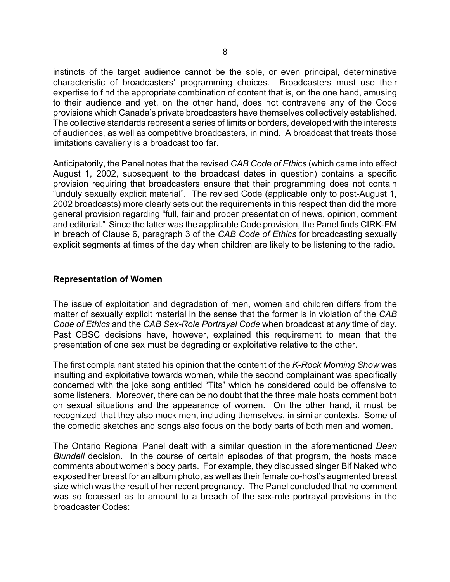instincts of the target audience cannot be the sole, or even principal, determinative characteristic of broadcasters' programming choices. Broadcasters must use their expertise to find the appropriate combination of content that is, on the one hand, amusing to their audience and yet, on the other hand, does not contravene any of the Code provisions which Canada's private broadcasters have themselves collectively established. The collective standards represent a series of limits or borders, developed with the interests of audiences, as well as competitive broadcasters, in mind. A broadcast that treats those limitations cavalierly is a broadcast too far.

Anticipatorily, the Panel notes that the revised *CAB Code of Ethics* (which came into effect August 1, 2002, subsequent to the broadcast dates in question) contains a specific provision requiring that broadcasters ensure that their programming does not contain "unduly sexually explicit material". The revised Code (applicable only to post-August 1, 2002 broadcasts) more clearly sets out the requirements in this respect than did the more general provision regarding "full, fair and proper presentation of news, opinion, comment and editorial." Since the latter was the applicable Code provision, the Panel finds CIRK-FM in breach of Clause 6, paragraph 3 of the *CAB Code of Ethics* for broadcasting sexually explicit segments at times of the day when children are likely to be listening to the radio.

### **Representation of Women**

The issue of exploitation and degradation of men, women and children differs from the matter of sexually explicit material in the sense that the former is in violation of the *CAB Code of Ethics* and the *CAB Sex-Role Portrayal Code* when broadcast at *any* time of day. Past CBSC decisions have, however, explained this requirement to mean that the presentation of one sex must be degrading or exploitative relative to the other.

The first complainant stated his opinion that the content of the *K-Rock Morning Show* was insulting and exploitative towards women, while the second complainant was specifically concerned with the joke song entitled "Tits" which he considered could be offensive to some listeners. Moreover, there can be no doubt that the three male hosts comment both on sexual situations and the appearance of women. On the other hand, it must be recognized that they also mock men, including themselves, in similar contexts. Some of the comedic sketches and songs also focus on the body parts of both men and women.

The Ontario Regional Panel dealt with a similar question in the aforementioned *Dean Blundell* decision. In the course of certain episodes of that program, the hosts made comments about women's body parts. For example, they discussed singer Bif Naked who exposed her breast for an album photo, as well as their female co-host's augmented breast size which was the result of her recent pregnancy. The Panel concluded that no comment was so focussed as to amount to a breach of the sex-role portrayal provisions in the broadcaster Codes: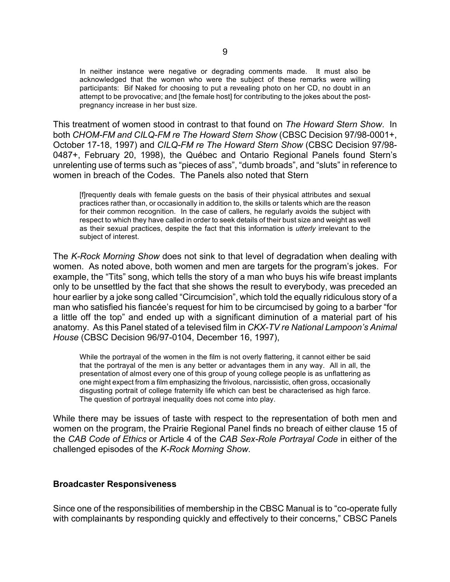In neither instance were negative or degrading comments made. It must also be acknowledged that the women who were the subject of these remarks were willing participants: Bif Naked for choosing to put a revealing photo on her CD, no doubt in an attempt to be provocative; and [the female host] for contributing to the jokes about the postpregnancy increase in her bust size.

This treatment of women stood in contrast to that found on *The Howard Stern Show*. In both *CHOM-FM and CILQ-FM re The Howard Stern Show* (CBSC Decision 97/98-0001+, October 17-18, 1997) and *CILQ-FM re The Howard Stern Show* (CBSC Decision 97/98- 0487+, February 20, 1998), the Québec and Ontario Regional Panels found Stern's unrelenting use of terms such as "pieces of ass", "dumb broads", and "sluts" in reference to women in breach of the Codes. The Panels also noted that Stern

[f]requently deals with female guests on the basis of their physical attributes and sexual practices rather than, or occasionally in addition to, the skills or talents which are the reason for their common recognition. In the case of callers, he regularly avoids the subject with respect to which they have called in order to seek details of their bust size and weight as well as their sexual practices, despite the fact that this information is *utterly* irrelevant to the subject of interest.

The *K-Rock Morning Show* does not sink to that level of degradation when dealing with women. As noted above, both women and men are targets for the program's jokes. For example, the "Tits" song, which tells the story of a man who buys his wife breast implants only to be unsettled by the fact that she shows the result to everybody, was preceded an hour earlier by a joke song called "Circumcision", which told the equally ridiculous story of a man who satisfied his fiancée's request for him to be circumcised by going to a barber "for a little off the top" and ended up with a significant diminution of a material part of his anatomy. As this Panel stated of a televised film in *CKX-TV re National Lampoon's Animal House* (CBSC Decision 96/97-0104, December 16, 1997),

While the portrayal of the women in the film is not overly flattering, it cannot either be said that the portrayal of the men is any better or advantages them in any way. All in all, the presentation of almost every one of this group of young college people is as unflattering as one might expect from a film emphasizing the frivolous, narcissistic, often gross, occasionally disgusting portrait of college fraternity life which can best be characterised as high farce. The question of portrayal inequality does not come into play.

While there may be issues of taste with respect to the representation of both men and women on the program, the Prairie Regional Panel finds no breach of either clause 15 of the *CAB Code of Ethics* or Article 4 of the *CAB Sex-Role Portrayal Code* in either of the challenged episodes of the *K-Rock Morning Show*.

### **Broadcaster Responsiveness**

Since one of the responsibilities of membership in the CBSC Manual is to "co-operate fully with complainants by responding quickly and effectively to their concerns," CBSC Panels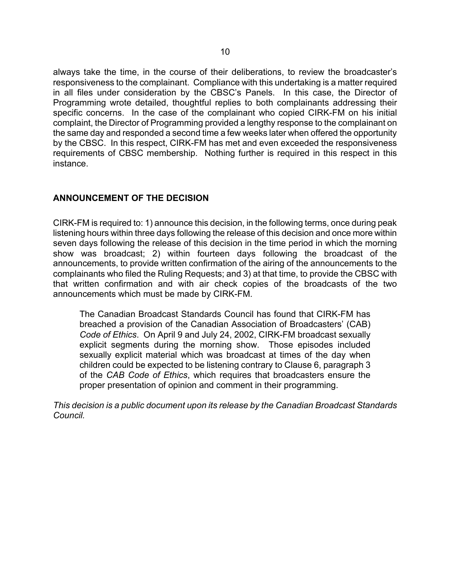always take the time, in the course of their deliberations, to review the broadcaster's responsiveness to the complainant. Compliance with this undertaking is a matter required in all files under consideration by the CBSC's Panels. In this case, the Director of Programming wrote detailed, thoughtful replies to both complainants addressing their specific concerns. In the case of the complainant who copied CIRK-FM on his initial complaint, the Director of Programming provided a lengthy response to the complainant on the same day and responded a second time a few weeks later when offered the opportunity by the CBSC. In this respect, CIRK-FM has met and even exceeded the responsiveness requirements of CBSC membership. Nothing further is required in this respect in this instance.

## **ANNOUNCEMENT OF THE DECISION**

CIRK-FM is required to: 1) announce this decision, in the following terms, once during peak listening hours within three days following the release of this decision and once more within seven days following the release of this decision in the time period in which the morning show was broadcast; 2) within fourteen days following the broadcast of the announcements, to provide written confirmation of the airing of the announcements to the complainants who filed the Ruling Requests; and 3) at that time, to provide the CBSC with that written confirmation and with air check copies of the broadcasts of the two announcements which must be made by CIRK-FM.

The Canadian Broadcast Standards Council has found that CIRK-FM has breached a provision of the Canadian Association of Broadcasters' (CAB) *Code of Ethics*. On April 9 and July 24, 2002, CIRK-FM broadcast sexually explicit segments during the morning show. Those episodes included sexually explicit material which was broadcast at times of the day when children could be expected to be listening contrary to Clause 6, paragraph 3 of the *CAB Code of Ethics*, which requires that broadcasters ensure the proper presentation of opinion and comment in their programming.

*This decision is a public document upon its release by the Canadian Broadcast Standards Council.*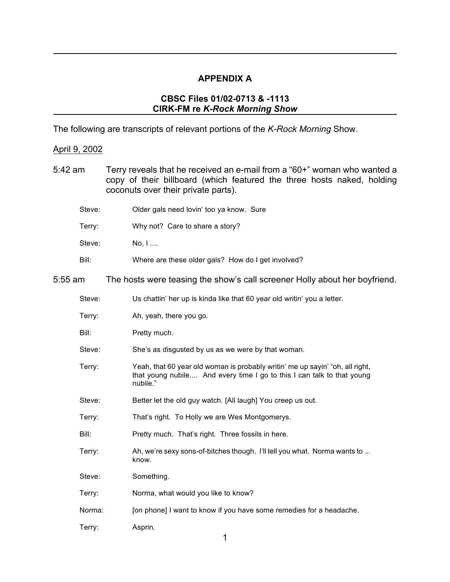## **APPENDIX A**

## **CBSC Files 01/02-0713 & -1113 CIRK-FM re** *K-Rock Morning Show*

The following are transcripts of relevant portions of the *K-Rock Morning* Show.

## April 9, 2002

| 5:42 am | Terry reveals that he received an e-mail from a "60+" woman who wanted a<br>copy of their billboard (which featured the three hosts naked, holding<br>coconuts over their private parts). |  |  |
|---------|-------------------------------------------------------------------------------------------------------------------------------------------------------------------------------------------|--|--|
| Steve:  | Older gals need lovin' too ya know. Sure                                                                                                                                                  |  |  |
| Terry:  | Why not? Care to share a story?                                                                                                                                                           |  |  |
| Steve:  | No, I                                                                                                                                                                                     |  |  |
| Bill:   | Where are these older gals? How do I get involved?                                                                                                                                        |  |  |
| 5:55 am | The hosts were teasing the show's call screener Holly about her boyfriend.                                                                                                                |  |  |
| Steve:  | Us chattin' her up is kinda like that 60 year old writin' you a letter.                                                                                                                   |  |  |
| Terry:  | Ah, yeah, there you go.                                                                                                                                                                   |  |  |
| Bill:   | Pretty much.                                                                                                                                                                              |  |  |
| Steve:  | She's as disgusted by us as we were by that woman.                                                                                                                                        |  |  |
| Terry:  | Yeah, that 60 year old woman is probably writin' me up sayin' "oh, all right,<br>that young nubile And every time I go to this I can talk to that young<br>nubile."                       |  |  |
| Steve:  | Better let the old guy watch. [All laugh] You creep us out.                                                                                                                               |  |  |
| Terry:  | That's right. To Holly we are Wes Montgomerys.                                                                                                                                            |  |  |
| Bill:   | Pretty much. That's right. Three fossils in here.                                                                                                                                         |  |  |
| Terry:  | Ah, we're sexy sons-of-bitches though. I'll tell you what. Norma wants to<br>know.                                                                                                        |  |  |
| Steve:  | Something.                                                                                                                                                                                |  |  |
| Terry:  | Norma, what would you like to know?                                                                                                                                                       |  |  |
| Norma:  | [on phone] I want to know if you have some remedies for a headache.                                                                                                                       |  |  |
| Terry:  | Asprin.                                                                                                                                                                                   |  |  |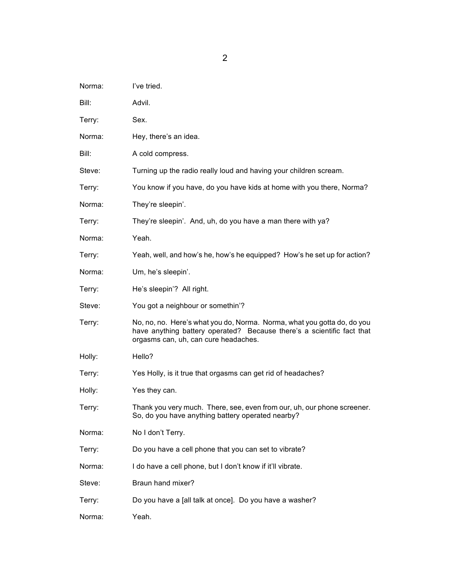| Norma: | I've tried.                                                                                                                                                                               |
|--------|-------------------------------------------------------------------------------------------------------------------------------------------------------------------------------------------|
| Bill:  | Advil.                                                                                                                                                                                    |
| Terry: | Sex.                                                                                                                                                                                      |
| Norma: | Hey, there's an idea.                                                                                                                                                                     |
| Bill:  | A cold compress.                                                                                                                                                                          |
| Steve: | Turning up the radio really loud and having your children scream.                                                                                                                         |
| Terry: | You know if you have, do you have kids at home with you there, Norma?                                                                                                                     |
| Norma: | They're sleepin'.                                                                                                                                                                         |
| Terry: | They're sleepin'. And, uh, do you have a man there with ya?                                                                                                                               |
| Norma: | Yeah.                                                                                                                                                                                     |
| Terry: | Yeah, well, and how's he, how's he equipped? How's he set up for action?                                                                                                                  |
| Norma: | Um, he's sleepin'.                                                                                                                                                                        |
| Terry: | He's sleepin'? All right.                                                                                                                                                                 |
| Steve: | You got a neighbour or somethin'?                                                                                                                                                         |
| Terry: | No, no, no. Here's what you do, Norma. Norma, what you gotta do, do you<br>have anything battery operated? Because there's a scientific fact that<br>orgasms can, uh, can cure headaches. |
| Holly: | Hello?                                                                                                                                                                                    |
| Terry: | Yes Holly, is it true that orgasms can get rid of headaches?                                                                                                                              |
| Holly: | Yes they can.                                                                                                                                                                             |
| Terry: | Thank you very much. There, see, even from our, uh, our phone screener.<br>So, do you have anything battery operated nearby?                                                              |
| Norma: | No I don't Terry.                                                                                                                                                                         |
| Terry: | Do you have a cell phone that you can set to vibrate?                                                                                                                                     |
| Norma: | I do have a cell phone, but I don't know if it'll vibrate.                                                                                                                                |
| Steve: | Braun hand mixer?                                                                                                                                                                         |
| Terry: | Do you have a [all talk at once]. Do you have a washer?                                                                                                                                   |
| Norma: | Yeah.                                                                                                                                                                                     |

2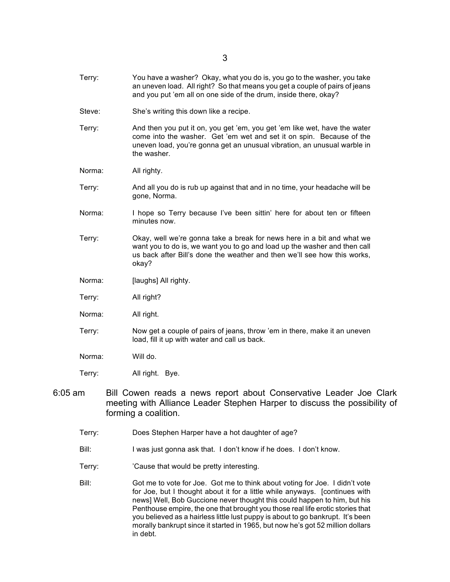- Terry: You have a washer? Okay, what you do is, you go to the washer, you take an uneven load. All right? So that means you get a couple of pairs of jeans and you put 'em all on one side of the drum, inside there, okay?
- Steve: She's writing this down like a recipe.
- Terry: And then you put it on, you get 'em, you get 'em like wet, have the water come into the washer. Get 'em wet and set it on spin. Because of the uneven load, you're gonna get an unusual vibration, an unusual warble in the washer.
- Norma: All righty.
- Terry: And all you do is rub up against that and in no time, your headache will be gone, Norma.
- Norma: I hope so Terry because I've been sittin' here for about ten or fifteen minutes now.
- Terry: Okay, well we're gonna take a break for news here in a bit and what we want you to do is, we want you to go and load up the washer and then call us back after Bill's done the weather and then we'll see how this works, okay?
- Norma: [laughs] All righty.
- Terry: All right?
- Norma: All right.
- Terry: Now get a couple of pairs of jeans, throw 'em in there, make it an uneven load, fill it up with water and call us back.
- Norma: Will do.
- Terry: All right. Bye.
- 6:05 am Bill Cowen reads a news report about Conservative Leader Joe Clark meeting with Alliance Leader Stephen Harper to discuss the possibility of forming a coalition.
	- Terry: Does Stephen Harper have a hot daughter of age?
	- Bill: I was just gonna ask that. I don't know if he does. I don't know.
	- Terry: 'Cause that would be pretty interesting.
	- Bill: Got me to vote for Joe. Got me to think about voting for Joe. I didn't vote for Joe, but I thought about it for a little while anyways. [continues with news] Well, Bob Guccione never thought this could happen to him, but his Penthouse empire, the one that brought you those real life erotic stories that you believed as a hairless little lust puppy is about to go bankrupt. It's been morally bankrupt since it started in 1965, but now he's got 52 million dollars in debt.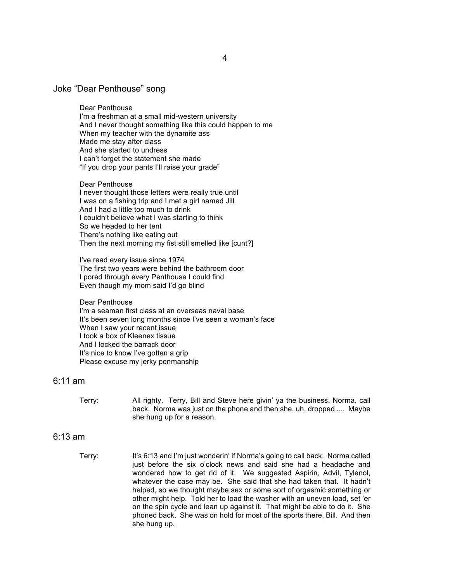#### Joke "Dear Penthouse" song

Dear Penthouse I'm a freshman at a small mid-western university And I never thought something like this could happen to me When my teacher with the dynamite ass Made me stay after class And she started to undress I can't forget the statement she made "If you drop your pants I'll raise your grade"

Dear Penthouse I never thought those letters were really true until I was on a fishing trip and I met a girl named Jill And I had a little too much to drink I couldn't believe what I was starting to think So we headed to her tent There's nothing like eating out Then the next morning my fist still smelled like [cunt?]

I've read every issue since 1974 The first two years were behind the bathroom door I pored through every Penthouse I could find Even though my mom said I'd go blind

#### Dear Penthouse

I'm a seaman first class at an overseas naval base It's been seven long months since I've seen a woman's face When I saw your recent issue I took a box of Kleenex tissue And I locked the barrack door It's nice to know I've gotten a grip Please excuse my jerky penmanship

### 6:11 am

Terry: All righty. Terry, Bill and Steve here givin' ya the business. Norma, call back. Norma was just on the phone and then she, uh, dropped .... Maybe she hung up for a reason.

#### 6:13 am

Terry: It's 6:13 and I'm just wonderin' if Norma's going to call back. Norma called just before the six o'clock news and said she had a headache and wondered how to get rid of it. We suggested Aspirin, Advil, Tylenol, whatever the case may be. She said that she had taken that. It hadn't helped, so we thought maybe sex or some sort of orgasmic something or other might help. Told her to load the washer with an uneven load, set 'er on the spin cycle and lean up against it. That might be able to do it. She phoned back. She was on hold for most of the sports there, Bill. And then she hung up.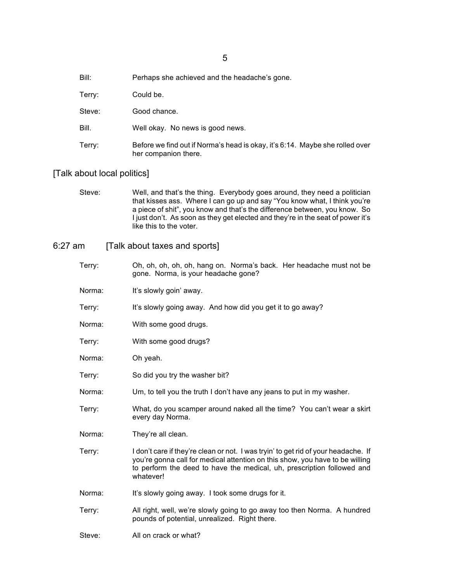| Perhaps she achieved and the headache's gone.                                                        |
|------------------------------------------------------------------------------------------------------|
| Could be.                                                                                            |
| Good chance.                                                                                         |
| Well okay. No news is good news.                                                                     |
| Before we find out if Norma's head is okay, it's 6:14. Maybe she rolled over<br>her companion there. |
|                                                                                                      |

### [Talk about local politics]

| Steve: | Well, and that's the thing. Everybody goes around, they need a politician       |
|--------|---------------------------------------------------------------------------------|
|        | that kisses ass. Where I can go up and say "You know what, I think you're       |
|        | a piece of shit", you know and that's the difference between, you know. So      |
|        | I just don't. As soon as they get elected and they're in the seat of power it's |
|        | like this to the voter.                                                         |

#### 6:27 am [Talk about taxes and sports]

| Terry: | Oh, oh, oh, oh, oh, hang on. Norma's back. Her headache must not be |
|--------|---------------------------------------------------------------------|
|        | gone. Norma, is your headache gone?                                 |

- Norma: It's slowly goin' away.
- Terry: It's slowly going away. And how did you get it to go away?
- Norma: With some good drugs.
- Terry: With some good drugs?
- Norma: Oh yeah.
- Terry: So did you try the washer bit?
- Norma: Um, to tell you the truth I don't have any jeans to put in my washer.
- Terry: What, do you scamper around naked all the time? You can't wear a skirt every day Norma.
- Norma: They're all clean.
- Terry: I don't care if they're clean or not. I was tryin' to get rid of your headache. If you're gonna call for medical attention on this show, you have to be willing to perform the deed to have the medical, uh, prescription followed and whatever!
- Norma: It's slowly going away. I took some drugs for it.
- Terry: All right, well, we're slowly going to go away too then Norma. A hundred pounds of potential, unrealized. Right there.
- Steve: All on crack or what?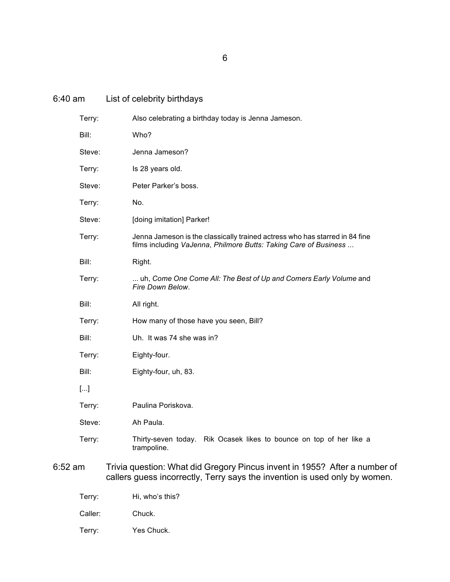| 6:40 am | List of celebrity birthdays                                                                                                                              |
|---------|----------------------------------------------------------------------------------------------------------------------------------------------------------|
| Terry:  | Also celebrating a birthday today is Jenna Jameson.                                                                                                      |
| Bill:   | Who?                                                                                                                                                     |
| Steve:  | Jenna Jameson?                                                                                                                                           |
| Terry:  | Is 28 years old.                                                                                                                                         |
| Steve:  | Peter Parker's boss.                                                                                                                                     |
| Terry:  | No.                                                                                                                                                      |
| Steve:  | [doing imitation] Parker!                                                                                                                                |
| Terry:  | Jenna Jameson is the classically trained actress who has starred in 84 fine<br>films including VaJenna, Philmore Butts: Taking Care of Business          |
| Bill:   | Right.                                                                                                                                                   |
| Terry:  | uh, Come One Come All: The Best of Up and Comers Early Volume and<br>Fire Down Below.                                                                    |
| Bill:   | All right.                                                                                                                                               |
| Terry:  | How many of those have you seen, Bill?                                                                                                                   |
| Bill:   | Uh. It was 74 she was in?                                                                                                                                |
| Terry:  | Eighty-four.                                                                                                                                             |
| Bill:   | Eighty-four, uh, 83.                                                                                                                                     |
| $[]$    |                                                                                                                                                          |
| Terry:  | Paulina Poriskova.                                                                                                                                       |
| Steve:  | Ah Paula.                                                                                                                                                |
| Terry:  | Thirty-seven today. Rik Ocasek likes to bounce on top of her like a<br>trampoline.                                                                       |
| 6:52 am | Trivia question: What did Gregory Pincus invent in 1955? After a number of<br>callers guess incorrectly, Terry says the invention is used only by women. |
| Terry:  | Hi, who's this?                                                                                                                                          |

- Caller: Chuck.
- Terry: Yes Chuck.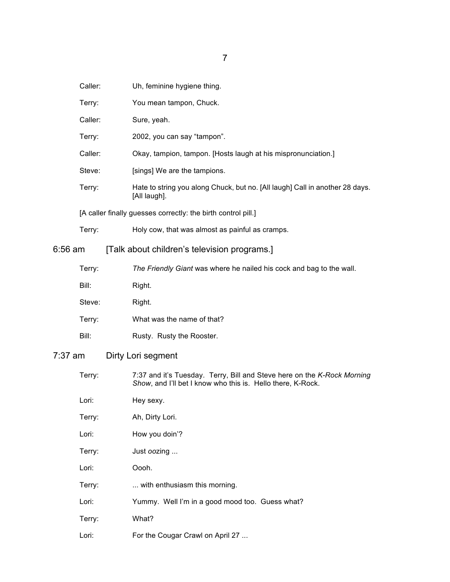|           | Caller: | Uh, feminine hygiene thing.                                                                                                            |
|-----------|---------|----------------------------------------------------------------------------------------------------------------------------------------|
|           | Terry:  | You mean tampon, Chuck.                                                                                                                |
|           | Caller: | Sure, yeah.                                                                                                                            |
|           | Terry:  | 2002, you can say "tampon".                                                                                                            |
|           | Caller: | Okay, tampion, tampon. [Hosts laugh at his mispronunciation.]                                                                          |
|           | Steve:  | [sings] We are the tampions.                                                                                                           |
|           | Terry:  | Hate to string you along Chuck, but no. [All laugh] Call in another 28 days.<br>[All laugh].                                           |
|           |         | [A caller finally guesses correctly: the birth control pill.]                                                                          |
|           | Terry:  | Holy cow, that was almost as painful as cramps.                                                                                        |
| $6:56$ am |         | [Talk about children's television programs.]                                                                                           |
|           | Terry:  | The Friendly Giant was where he nailed his cock and bag to the wall.                                                                   |
|           | Bill:   | Right.                                                                                                                                 |
|           | Steve:  | Right.                                                                                                                                 |
|           | Terry:  | What was the name of that?                                                                                                             |
|           | Bill:   | Rusty. Rusty the Rooster.                                                                                                              |
| $7:37$ am |         | Dirty Lori segment                                                                                                                     |
|           | Terry:  | 7:37 and it's Tuesday. Terry, Bill and Steve here on the K-Rock Morning<br>Show, and I'll bet I know who this is. Hello there, K-Rock. |
|           | Lori:   | Hey sexy.                                                                                                                              |
|           | Terry:  | Ah, Dirty Lori.                                                                                                                        |
|           | Lori:   | How you doin'?                                                                                                                         |
|           | Terry:  | Just oozing                                                                                                                            |
|           | Lori:   | Oooh.                                                                                                                                  |
|           | Terry:  | with enthusiasm this morning.                                                                                                          |
|           | Lori:   | Yummy. Well I'm in a good mood too. Guess what?                                                                                        |
|           | Terry:  | What?                                                                                                                                  |
|           | Lori:   | For the Cougar Crawl on April 27                                                                                                       |

7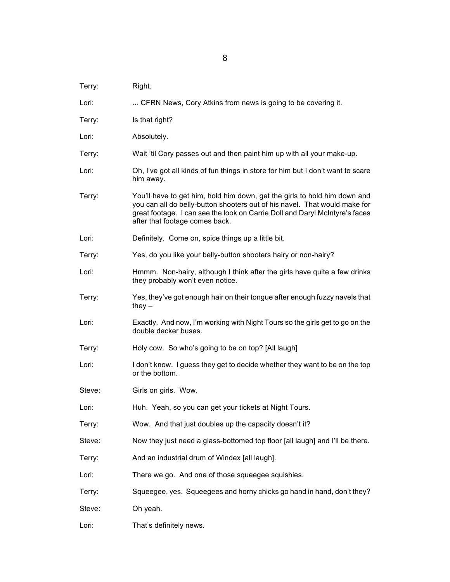| Terry: | Right.                                                                                                                                                                                                                                                                   |
|--------|--------------------------------------------------------------------------------------------------------------------------------------------------------------------------------------------------------------------------------------------------------------------------|
| Lori:  | CFRN News, Cory Atkins from news is going to be covering it.                                                                                                                                                                                                             |
| Terry: | Is that right?                                                                                                                                                                                                                                                           |
| Lori:  | Absolutely.                                                                                                                                                                                                                                                              |
| Terry: | Wait 'til Cory passes out and then paint him up with all your make-up.                                                                                                                                                                                                   |
| Lori:  | Oh, I've got all kinds of fun things in store for him but I don't want to scare<br>him away.                                                                                                                                                                             |
| Terry: | You'll have to get him, hold him down, get the girls to hold him down and<br>you can all do belly-button shooters out of his navel. That would make for<br>great footage. I can see the look on Carrie Doll and Daryl McIntyre's faces<br>after that footage comes back. |
| Lori:  | Definitely. Come on, spice things up a little bit.                                                                                                                                                                                                                       |
| Terry: | Yes, do you like your belly-button shooters hairy or non-hairy?                                                                                                                                                                                                          |
| Lori:  | Hmmm. Non-hairy, although I think after the girls have quite a few drinks<br>they probably won't even notice.                                                                                                                                                            |
| Terry: | Yes, they've got enough hair on their tongue after enough fuzzy navels that<br>they $-$                                                                                                                                                                                  |
| Lori:  | Exactly. And now, I'm working with Night Tours so the girls get to go on the<br>double decker buses.                                                                                                                                                                     |
| Terry: | Holy cow. So who's going to be on top? [All laugh]                                                                                                                                                                                                                       |
| Lori:  | I don't know. I guess they get to decide whether they want to be on the top<br>or the bottom.                                                                                                                                                                            |
| Steve: | Girls on girls. Wow.                                                                                                                                                                                                                                                     |
| Lori:  | Huh. Yeah, so you can get your tickets at Night Tours.                                                                                                                                                                                                                   |
| Terry: | Wow. And that just doubles up the capacity doesn't it?                                                                                                                                                                                                                   |
| Steve: | Now they just need a glass-bottomed top floor [all laugh] and I'll be there.                                                                                                                                                                                             |
| Terry: | And an industrial drum of Windex [all laugh].                                                                                                                                                                                                                            |
| Lori:  | There we go. And one of those squeegee squishies.                                                                                                                                                                                                                        |
| Terry: | Squeegee, yes. Squeegees and horny chicks go hand in hand, don't they?                                                                                                                                                                                                   |
| Steve: | Oh yeah.                                                                                                                                                                                                                                                                 |
| Lori:  | That's definitely news.                                                                                                                                                                                                                                                  |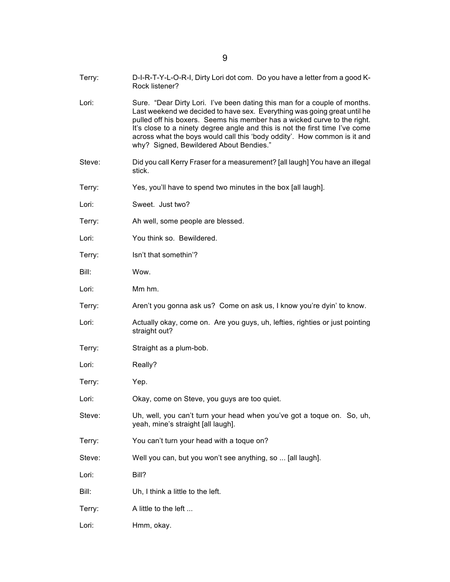| Terry: | D-I-R-T-Y-L-O-R-I, Dirty Lori dot com. Do you have a letter from a good K-<br>Rock listener?                                                                                                                                                                                                                                                                                                                                             |
|--------|------------------------------------------------------------------------------------------------------------------------------------------------------------------------------------------------------------------------------------------------------------------------------------------------------------------------------------------------------------------------------------------------------------------------------------------|
| Lori:  | Sure. "Dear Dirty Lori. I've been dating this man for a couple of months.<br>Last weekend we decided to have sex. Everything was going great until he<br>pulled off his boxers. Seems his member has a wicked curve to the right.<br>It's close to a ninety degree angle and this is not the first time I've come<br>across what the boys would call this 'body oddity'. How common is it and<br>why? Signed, Bewildered About Bendies." |
| Steve: | Did you call Kerry Fraser for a measurement? [all laugh] You have an illegal<br>stick.                                                                                                                                                                                                                                                                                                                                                   |
| Terry: | Yes, you'll have to spend two minutes in the box [all laugh].                                                                                                                                                                                                                                                                                                                                                                            |
| Lori:  | Sweet. Just two?                                                                                                                                                                                                                                                                                                                                                                                                                         |
| Terry: | Ah well, some people are blessed.                                                                                                                                                                                                                                                                                                                                                                                                        |
| Lori:  | You think so. Bewildered.                                                                                                                                                                                                                                                                                                                                                                                                                |
| Terry: | Isn't that somethin'?                                                                                                                                                                                                                                                                                                                                                                                                                    |
| Bill:  | Wow.                                                                                                                                                                                                                                                                                                                                                                                                                                     |
| Lori:  | Mm hm.                                                                                                                                                                                                                                                                                                                                                                                                                                   |
| Terry: | Aren't you gonna ask us? Come on ask us, I know you're dyin' to know.                                                                                                                                                                                                                                                                                                                                                                    |
| Lori:  | Actually okay, come on. Are you guys, uh, lefties, righties or just pointing<br>straight out?                                                                                                                                                                                                                                                                                                                                            |
| Terry: | Straight as a plum-bob.                                                                                                                                                                                                                                                                                                                                                                                                                  |
| Lori:  | Really?                                                                                                                                                                                                                                                                                                                                                                                                                                  |
| Terry: | Yep.                                                                                                                                                                                                                                                                                                                                                                                                                                     |
| Lori:  | Okay, come on Steve, you guys are too quiet.                                                                                                                                                                                                                                                                                                                                                                                             |
| Steve: | Uh, well, you can't turn your head when you've got a toque on. So, uh,<br>yeah, mine's straight [all laugh].                                                                                                                                                                                                                                                                                                                             |
| Terry: | You can't turn your head with a toque on?                                                                                                                                                                                                                                                                                                                                                                                                |
| Steve: | Well you can, but you won't see anything, so  [all laugh].                                                                                                                                                                                                                                                                                                                                                                               |
| Lori:  | Bill?                                                                                                                                                                                                                                                                                                                                                                                                                                    |
| Bill:  | Uh, I think a little to the left.                                                                                                                                                                                                                                                                                                                                                                                                        |
| Terry: | A little to the left                                                                                                                                                                                                                                                                                                                                                                                                                     |
| Lori:  | Hmm, okay.                                                                                                                                                                                                                                                                                                                                                                                                                               |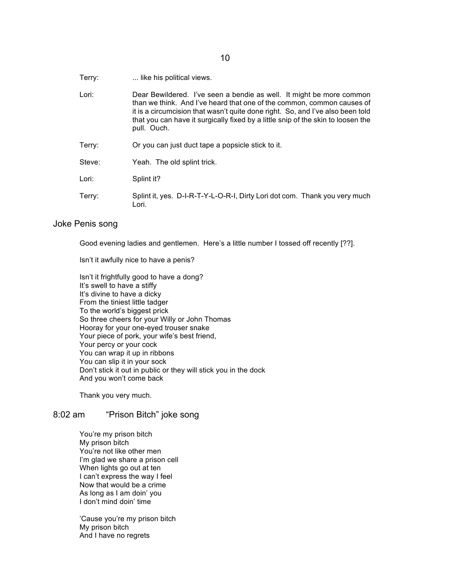| Terry: | like his political views.                                                                                                                                                                                                                                                                                                           |
|--------|-------------------------------------------------------------------------------------------------------------------------------------------------------------------------------------------------------------------------------------------------------------------------------------------------------------------------------------|
| Lori:  | Dear Bewildered. I've seen a bendie as well. It might be more common<br>than we think. And I've heard that one of the common, common causes of<br>it is a circumcision that wasn't quite done right. So, and I've also been told<br>that you can have it surgically fixed by a little snip of the skin to loosen the<br>pull. Ouch. |
| Terry: | Or you can just duct tape a popsicle stick to it.                                                                                                                                                                                                                                                                                   |
| Steve: | Yeah. The old splint trick.                                                                                                                                                                                                                                                                                                         |
| Lori:  | Splint it?                                                                                                                                                                                                                                                                                                                          |
| Terry: | Splint it, yes. D-I-R-T-Y-L-O-R-I, Dirty Lori dot com. Thank you very much<br>Lori.                                                                                                                                                                                                                                                 |

#### Joke Penis song

Good evening ladies and gentlemen. Here's a little number I tossed off recently [??].

Isn't it awfully nice to have a penis?

Isn't it frightfully good to have a dong? It's swell to have a stiffy It's divine to have a dicky From the tiniest little tadger To the world's biggest prick So three cheers for your Willy or John Thomas Hooray for your one-eyed trouser snake Your piece of pork, your wife's best friend, Your percy or your cock You can wrap it up in ribbons You can slip it in your sock Don't stick it out in public or they will stick you in the dock And you won't come back

Thank you very much.

### 8:02 am "Prison Bitch" joke song

You're my prison bitch My prison bitch You're not like other men I'm glad we share a prison cell When lights go out at ten I can't express the way I feel Now that would be a crime As long as I am doin' you I don't mind doin' time

'Cause you're my prison bitch My prison bitch And I have no regrets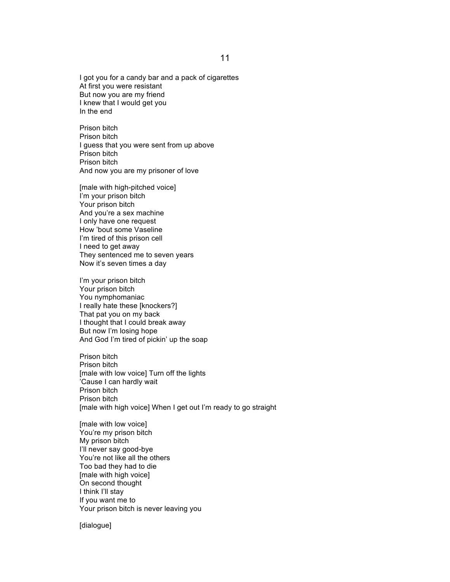I got you for a candy bar and a pack of cigarettes At first you were resistant But now you are my friend I knew that I would get you In the end

Prison bitch Prison bitch I guess that you were sent from up above Prison bitch Prison bitch And now you are my prisoner of love

[male with high-pitched voice] I'm your prison bitch Your prison bitch And you're a sex machine I only have one request How 'bout some Vaseline I'm tired of this prison cell I need to get away They sentenced me to seven years Now it's seven times a day

I'm your prison bitch Your prison bitch You nymphomaniac I really hate these [knockers?] That pat you on my back I thought that I could break away But now I'm losing hope And God I'm tired of pickin' up the soap

Prison bitch Prison bitch [male with low voice] Turn off the lights 'Cause I can hardly wait Prison bitch Prison bitch [male with high voice] When I get out I'm ready to go straight

[male with low voice] You're my prison bitch My prison bitch I'll never say good-bye You're not like all the others Too bad they had to die [male with high voice] On second thought I think I'll stay If you want me to Your prison bitch is never leaving you

[dialogue]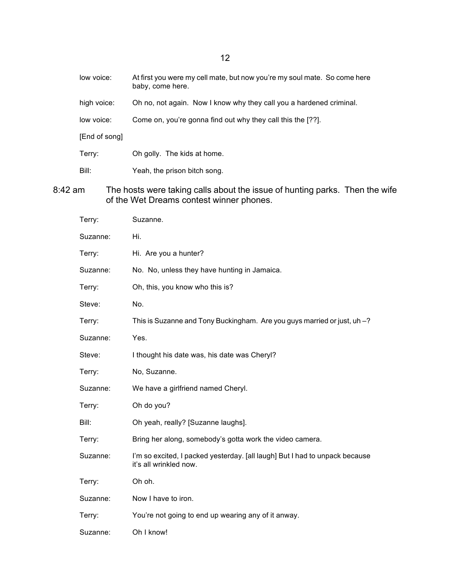|         | low voice:    | At first you were my cell mate, but now you're my soul mate. So come here<br>baby, come here.                           |
|---------|---------------|-------------------------------------------------------------------------------------------------------------------------|
|         | high voice:   | Oh no, not again. Now I know why they call you a hardened criminal.                                                     |
|         | low voice:    | Come on, you're gonna find out why they call this the [??].                                                             |
|         | [End of song] |                                                                                                                         |
|         | Terry:        | Oh golly. The kids at home.                                                                                             |
|         | Bill:         | Yeah, the prison bitch song.                                                                                            |
| 8:42 am |               | The hosts were taking calls about the issue of hunting parks. Then the wife<br>of the Wet Dreams contest winner phones. |
|         | Terry:        | Suzanne.                                                                                                                |
|         | Suzanne:      | Hi.                                                                                                                     |
|         | Terry:        | Hi. Are you a hunter?                                                                                                   |
|         | Suzanne:      | No. No, unless they have hunting in Jamaica.                                                                            |
|         | Terry:        | Oh, this, you know who this is?                                                                                         |
|         | Steve:        | No.                                                                                                                     |
|         | Terry:        | This is Suzanne and Tony Buckingham. Are you guys married or just, uh -?                                                |
|         | Suzanne:      | Yes.                                                                                                                    |
|         | Steve:        | I thought his date was, his date was Cheryl?                                                                            |
|         | Terry:        | No, Suzanne.                                                                                                            |
|         | Suzanne:      | We have a girlfriend named Cheryl.                                                                                      |
|         | Terry:        | Oh do you?                                                                                                              |
|         | Bill:         | Oh yeah, really? [Suzanne laughs].                                                                                      |
|         | Terry:        | Bring her along, somebody's gotta work the video camera.                                                                |
|         | Suzanne:      | I'm so excited, I packed yesterday. [all laugh] But I had to unpack because<br>it's all wrinkled now.                   |
|         | Terry:        | Oh oh.                                                                                                                  |
|         | Suzanne:      | Now I have to iron.                                                                                                     |
|         | Terry:        | You're not going to end up wearing any of it anway.                                                                     |
|         | Suzanne:      | Oh I know!                                                                                                              |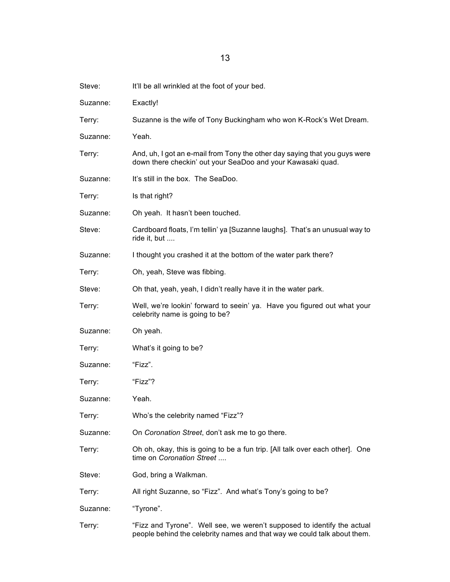| Steve:   | It'll be all wrinkled at the foot of your bed.                                                                                            |
|----------|-------------------------------------------------------------------------------------------------------------------------------------------|
| Suzanne: | Exactly!                                                                                                                                  |
| Terry:   | Suzanne is the wife of Tony Buckingham who won K-Rock's Wet Dream.                                                                        |
| Suzanne: | Yeah.                                                                                                                                     |
| Terry:   | And, uh, I got an e-mail from Tony the other day saying that you guys were<br>down there checkin' out your SeaDoo and your Kawasaki quad. |
| Suzanne: | It's still in the box. The SeaDoo.                                                                                                        |
| Terry:   | Is that right?                                                                                                                            |
| Suzanne: | Oh yeah. It hasn't been touched.                                                                                                          |
| Steve:   | Cardboard floats, I'm tellin' ya [Suzanne laughs]. That's an unusual way to<br>ride it, but                                               |
| Suzanne: | I thought you crashed it at the bottom of the water park there?                                                                           |
| Terry:   | Oh, yeah, Steve was fibbing.                                                                                                              |
| Steve:   | Oh that, yeah, yeah, I didn't really have it in the water park.                                                                           |
| Terry:   | Well, we're lookin' forward to seein' ya. Have you figured out what your<br>celebrity name is going to be?                                |
| Suzanne: | Oh yeah.                                                                                                                                  |
| Terry:   | What's it going to be?                                                                                                                    |
| Suzanne: | "Fizz".                                                                                                                                   |
| Terry:   | "Fizz"?                                                                                                                                   |
| Suzanne: | Yeah.                                                                                                                                     |
| Terry:   | Who's the celebrity named "Fizz"?                                                                                                         |
| Suzanne: | On Coronation Street, don't ask me to go there.                                                                                           |
| Terry:   | Oh oh, okay, this is going to be a fun trip. [All talk over each other]. One<br>time on Coronation Street                                 |
| Steve:   | God, bring a Walkman.                                                                                                                     |
| Terry:   | All right Suzanne, so "Fizz". And what's Tony's going to be?                                                                              |
| Suzanne: | "Tyrone".                                                                                                                                 |
| Terry:   | "Fizz and Tyrone". Well see, we weren't supposed to identify the actual                                                                   |

people behind the celebrity names and that way we could talk about them.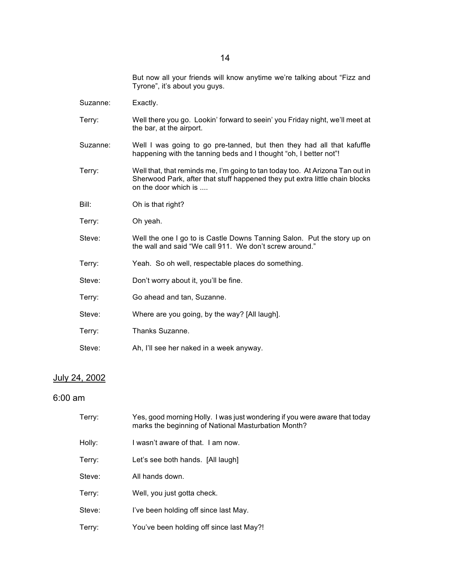But now all your friends will know anytime we're talking about "Fizz and Tyrone", it's about you guys.

- Suzanne: Exactly.
- Terry: Well there you go. Lookin' forward to seein' you Friday night, we'll meet at the bar, at the airport.
- Suzanne: Well I was going to go pre-tanned, but then they had all that kafuffle happening with the tanning beds and I thought "oh, I better not"!
- Terry: Well that, that reminds me, I'm going to tan today too. At Arizona Tan out in Sherwood Park, after that stuff happened they put extra little chain blocks on the door which is ....
- Bill: Oh is that right?
- Terry: Oh yeah.
- Steve: Well the one I go to is Castle Downs Tanning Salon. Put the story up on the wall and said "We call 911. We don't screw around."
- Terry: Yeah. So oh well, respectable places do something.
- Steve: Don't worry about it, you'll be fine.
- Terry: Go ahead and tan, Suzanne.
- Steve: Where are you going, by the way? [All laugh].
- Terry: Thanks Suzanne.
- Steve: Ah, I'll see her naked in a week anyway.

#### July 24, 2002

#### 6:00 am

| Terry: | Yes, good morning Holly. I was just wondering if you were aware that today<br>marks the beginning of National Masturbation Month? |
|--------|-----------------------------------------------------------------------------------------------------------------------------------|
| Holly: | I wasn't aware of that. I am now.                                                                                                 |
| Terry: | Let's see both hands. [All laugh]                                                                                                 |
| Steve: | All hands down.                                                                                                                   |
| Terry: | Well, you just gotta check.                                                                                                       |
| Steve: | I've been holding off since last May.                                                                                             |
| Terry: | You've been holding off since last May?!                                                                                          |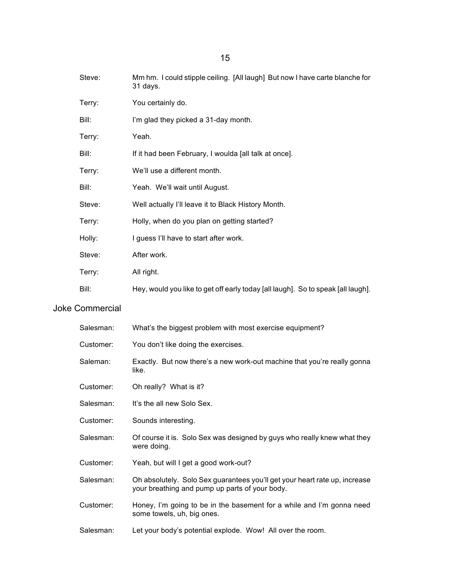| Steve: | Mm hm. I could stipple ceiling. [All laugh] But now I have carte blanche for<br>31 days. |
|--------|------------------------------------------------------------------------------------------|
| Terry: | You certainly do.                                                                        |
| Bill:  | I'm glad they picked a 31-day month.                                                     |
| Terry: | Yeah.                                                                                    |
| Bill:  | If it had been February, I woulda [all talk at once].                                    |
| Terry: | We'll use a different month.                                                             |
| Bill:  | Yeah. We'll wait until August.                                                           |
| Steve: | Well actually I'll leave it to Black History Month.                                      |
| Terry: | Holly, when do you plan on getting started?                                              |
| Holly: | I guess I'll have to start after work.                                                   |
| Steve: | After work.                                                                              |
| Terry: | All right.                                                                               |
| Bill:  | Hey, would you like to get off early today [all laugh]. So to speak [all laugh].         |
|        |                                                                                          |

## Joke Commercial

| Salesman: | What's the biggest problem with most exercise equipment?                                                                     |
|-----------|------------------------------------------------------------------------------------------------------------------------------|
| Customer: | You don't like doing the exercises.                                                                                          |
| Saleman:  | Exactly. But now there's a new work-out machine that you're really gonna<br>like.                                            |
| Customer: | Oh really? What is it?                                                                                                       |
| Salesman: | It's the all new Solo Sex.                                                                                                   |
| Customer: | Sounds interesting.                                                                                                          |
| Salesman: | Of course it is. Solo Sex was designed by guys who really knew what they<br>were doing.                                      |
| Customer: | Yeah, but will I get a good work-out?                                                                                        |
| Salesman: | Oh absolutely. Solo Sex guarantees you'll get your heart rate up, increase<br>your breathing and pump up parts of your body. |
| Customer: | Honey, I'm going to be in the basement for a while and I'm gonna need<br>some towels, uh, big ones.                          |
| Salesman: | Let your body's potential explode. Wow! All over the room.                                                                   |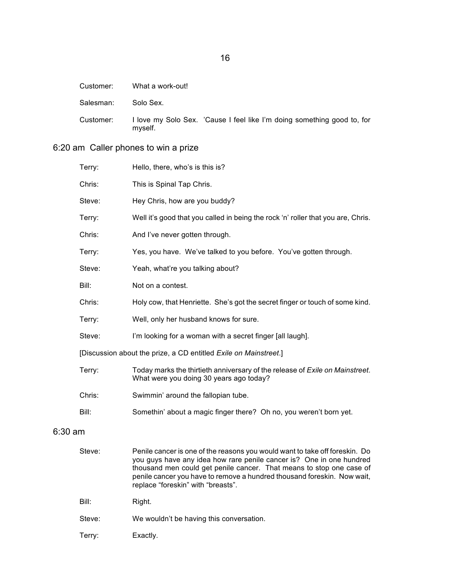| Customer: | What a work-out!                                                                   |
|-----------|------------------------------------------------------------------------------------|
| Salesman: | Solo Sex.                                                                          |
| Customer: | I love my Solo Sex. 'Cause I feel like I'm doing something good to, for<br>myself. |

# 6:20 am Caller phones to win a prize

| Chris:<br>This is Spinal Tap Chris.<br>Steve:<br>Hey Chris, how are you buddy?<br>Terry:<br>Well it's good that you called in being the rock 'n' roller that you are, Chris.<br>Chris:<br>And I've never gotten through.<br>Terry:<br>Yes, you have. We've talked to you before. You've gotten through.<br>Steve:<br>Yeah, what're you talking about?<br>Bill:<br>Not on a contest.<br>Chris:<br>Holy cow, that Henriette. She's got the secret finger or touch of some kind.<br>Terry:<br>Well, only her husband knows for sure.<br>Steve:<br>I'm looking for a woman with a secret finger [all laugh].<br>[Discussion about the prize, a CD entitled Exile on Mainstreet.]<br>Terry:<br>Today marks the thirtieth anniversary of the release of Exile on Mainstreet.<br>What were you doing 30 years ago today?<br>Chris:<br>Swimmin' around the fallopian tube.<br>Bill:<br>Somethin' about a magic finger there? Oh no, you weren't born yet.<br>Steve:<br>Penile cancer is one of the reasons you would want to take off foreskin. Do<br>you guys have any idea how rare penile cancer is? One in one hundred<br>thousand men could get penile cancer. That means to stop one case of<br>penile cancer you have to remove a hundred thousand foreskin. Now wait,<br>replace "foreskin" with "breasts". |           | Terry: | Hello, there, who's is this is? |
|-------------------------------------------------------------------------------------------------------------------------------------------------------------------------------------------------------------------------------------------------------------------------------------------------------------------------------------------------------------------------------------------------------------------------------------------------------------------------------------------------------------------------------------------------------------------------------------------------------------------------------------------------------------------------------------------------------------------------------------------------------------------------------------------------------------------------------------------------------------------------------------------------------------------------------------------------------------------------------------------------------------------------------------------------------------------------------------------------------------------------------------------------------------------------------------------------------------------------------------------------------------------------------------------------------------|-----------|--------|---------------------------------|
|                                                                                                                                                                                                                                                                                                                                                                                                                                                                                                                                                                                                                                                                                                                                                                                                                                                                                                                                                                                                                                                                                                                                                                                                                                                                                                             |           |        |                                 |
|                                                                                                                                                                                                                                                                                                                                                                                                                                                                                                                                                                                                                                                                                                                                                                                                                                                                                                                                                                                                                                                                                                                                                                                                                                                                                                             |           |        |                                 |
|                                                                                                                                                                                                                                                                                                                                                                                                                                                                                                                                                                                                                                                                                                                                                                                                                                                                                                                                                                                                                                                                                                                                                                                                                                                                                                             |           |        |                                 |
|                                                                                                                                                                                                                                                                                                                                                                                                                                                                                                                                                                                                                                                                                                                                                                                                                                                                                                                                                                                                                                                                                                                                                                                                                                                                                                             |           |        |                                 |
|                                                                                                                                                                                                                                                                                                                                                                                                                                                                                                                                                                                                                                                                                                                                                                                                                                                                                                                                                                                                                                                                                                                                                                                                                                                                                                             |           |        |                                 |
|                                                                                                                                                                                                                                                                                                                                                                                                                                                                                                                                                                                                                                                                                                                                                                                                                                                                                                                                                                                                                                                                                                                                                                                                                                                                                                             |           |        |                                 |
|                                                                                                                                                                                                                                                                                                                                                                                                                                                                                                                                                                                                                                                                                                                                                                                                                                                                                                                                                                                                                                                                                                                                                                                                                                                                                                             |           |        |                                 |
|                                                                                                                                                                                                                                                                                                                                                                                                                                                                                                                                                                                                                                                                                                                                                                                                                                                                                                                                                                                                                                                                                                                                                                                                                                                                                                             |           |        |                                 |
|                                                                                                                                                                                                                                                                                                                                                                                                                                                                                                                                                                                                                                                                                                                                                                                                                                                                                                                                                                                                                                                                                                                                                                                                                                                                                                             |           |        |                                 |
|                                                                                                                                                                                                                                                                                                                                                                                                                                                                                                                                                                                                                                                                                                                                                                                                                                                                                                                                                                                                                                                                                                                                                                                                                                                                                                             |           |        |                                 |
|                                                                                                                                                                                                                                                                                                                                                                                                                                                                                                                                                                                                                                                                                                                                                                                                                                                                                                                                                                                                                                                                                                                                                                                                                                                                                                             |           |        |                                 |
|                                                                                                                                                                                                                                                                                                                                                                                                                                                                                                                                                                                                                                                                                                                                                                                                                                                                                                                                                                                                                                                                                                                                                                                                                                                                                                             |           |        |                                 |
|                                                                                                                                                                                                                                                                                                                                                                                                                                                                                                                                                                                                                                                                                                                                                                                                                                                                                                                                                                                                                                                                                                                                                                                                                                                                                                             |           |        |                                 |
|                                                                                                                                                                                                                                                                                                                                                                                                                                                                                                                                                                                                                                                                                                                                                                                                                                                                                                                                                                                                                                                                                                                                                                                                                                                                                                             |           |        |                                 |
|                                                                                                                                                                                                                                                                                                                                                                                                                                                                                                                                                                                                                                                                                                                                                                                                                                                                                                                                                                                                                                                                                                                                                                                                                                                                                                             | $6:30$ am |        |                                 |
|                                                                                                                                                                                                                                                                                                                                                                                                                                                                                                                                                                                                                                                                                                                                                                                                                                                                                                                                                                                                                                                                                                                                                                                                                                                                                                             |           |        |                                 |

- Bill: Right.
- Steve: We wouldn't be having this conversation.
- Terry: Exactly.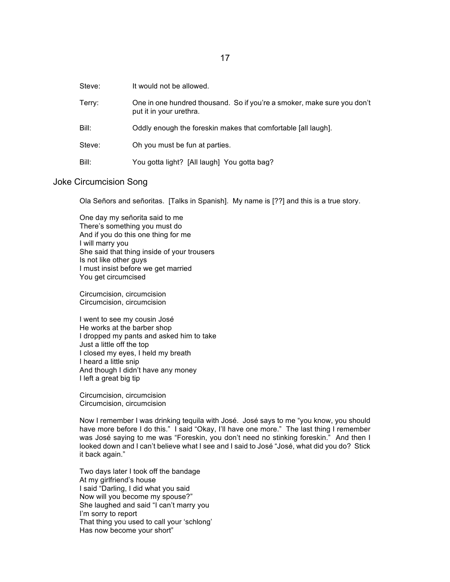| Steve: | It would not be allowed.                                                                           |  |
|--------|----------------------------------------------------------------------------------------------------|--|
| Terry: | One in one hundred thousand. So if you're a smoker, make sure you don't<br>put it in your urethra. |  |
| Bill:  | Oddly enough the foreskin makes that comfortable [all laugh].                                      |  |
| Steve: | Oh you must be fun at parties.                                                                     |  |
| Bill:  | You gotta light? [All laugh] You gotta bag?                                                        |  |

#### Joke Circumcision Song

Ola Señors and señoritas. [Talks in Spanish]. My name is [??] and this is a true story.

One day my señorita said to me There's something you must do And if you do this one thing for me I will marry you She said that thing inside of your trousers Is not like other guys I must insist before we get married You get circumcised

Circumcision, circumcision Circumcision, circumcision

I went to see my cousin José He works at the barber shop I dropped my pants and asked him to take Just a little off the top I closed my eyes, I held my breath I heard a little snip And though I didn't have any money I left a great big tip

Circumcision, circumcision Circumcision, circumcision

Now I remember I was drinking tequila with José. José says to me "you know, you should have more before I do this." I said "Okay, I'll have one more." The last thing I remember was José saying to me was "Foreskin, you don't need no stinking foreskin." And then I looked down and I can't believe what I see and I said to José "José, what did you do? Stick it back again."

Two days later I took off the bandage At my girlfriend's house I said "Darling, I did what you said Now will you become my spouse?" She laughed and said "I can't marry you I'm sorry to report That thing you used to call your 'schlong' Has now become your short"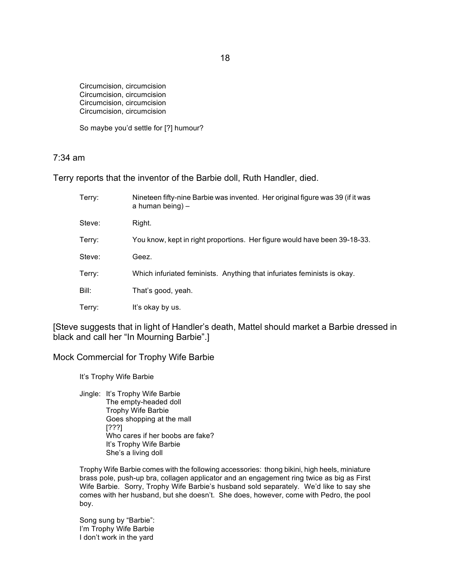Circumcision, circumcision Circumcision, circumcision Circumcision, circumcision Circumcision, circumcision

So maybe you'd settle for [?] humour?

#### 7:34 am

Terry reports that the inventor of the Barbie doll, Ruth Handler, died.

| Terry: | Nineteen fifty-nine Barbie was invented. Her original figure was 39 (if it was<br>a human being) - |
|--------|----------------------------------------------------------------------------------------------------|
| Steve: | Right.                                                                                             |
| Terry: | You know, kept in right proportions. Her figure would have been 39-18-33.                          |
| Steve: | Geez.                                                                                              |
| Terry: | Which infuriated feminists. Anything that infuriates feminists is okay.                            |
| Bill:  | That's good, yeah.                                                                                 |
| Terry: | It's okay by us.                                                                                   |

[Steve suggests that in light of Handler's death, Mattel should market a Barbie dressed in black and call her "In Mourning Barbie".]

Mock Commercial for Trophy Wife Barbie

It's Trophy Wife Barbie

Jingle: It's Trophy Wife Barbie The empty-headed doll Trophy Wife Barbie Goes shopping at the mall [???] Who cares if her boobs are fake? It's Trophy Wife Barbie She's a living doll

Trophy Wife Barbie comes with the following accessories: thong bikini, high heels, miniature brass pole, push-up bra, collagen applicator and an engagement ring twice as big as First Wife Barbie. Sorry, Trophy Wife Barbie's husband sold separately. We'd like to say she comes with her husband, but she doesn't. She does, however, come with Pedro, the pool boy.

Song sung by "Barbie": I'm Trophy Wife Barbie I don't work in the yard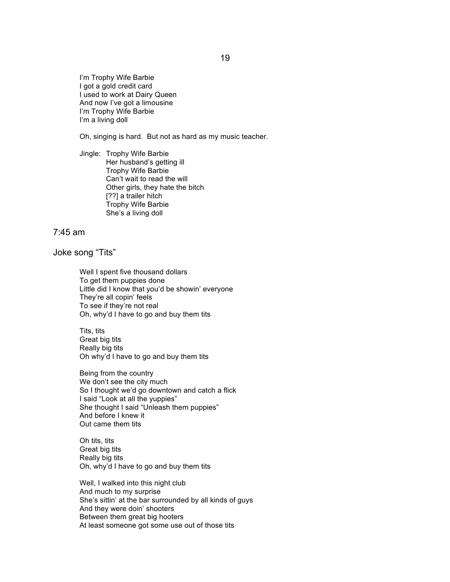I'm Trophy Wife Barbie I got a gold credit card I used to work at Dairy Queen And now I've got a limousine I'm Trophy Wife Barbie I'm a living doll

Oh, singing is hard. But not as hard as my music teacher.

Jingle: Trophy Wife Barbie Her husband's getting ill Trophy Wife Barbie Can't wait to read the will Other girls, they hate the bitch [??] a trailer hitch Trophy Wife Barbie She's a living doll

#### 7:45 am

#### Joke song "Tits"

Well I spent five thousand dollars To get them puppies done Little did I know that you'd be showin' everyone They're all copin' feels To see if they're not real Oh, why'd I have to go and buy them tits

Tits, tits Great big tits Really big tits Oh why'd I have to go and buy them tits

Being from the country We don't see the city much So I thought we'd go downtown and catch a flick I said "Look at all the yuppies" She thought I said "Unleash them puppies" And before I knew it Out came them tits

Oh tits, tits Great big tits Really big tits Oh, why'd I have to go and buy them tits

Well, I walked into this night club And much to my surprise She's sittin' at the bar surrounded by all kinds of guys And they were doin' shooters Between them great big hooters At least someone got some use out of those tits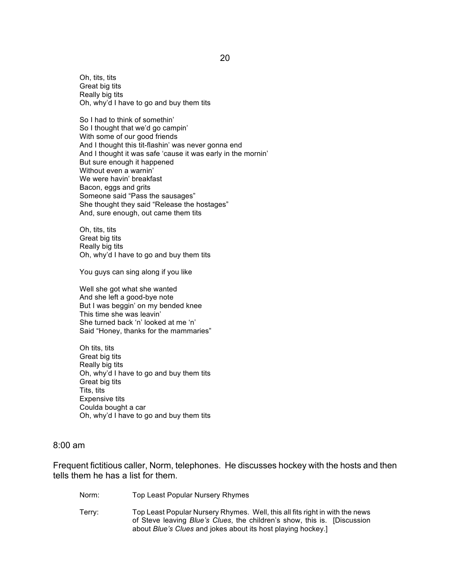Oh, tits, tits Great big tits Really big tits Oh, why'd I have to go and buy them tits

So I had to think of somethin' So I thought that we'd go campin' With some of our good friends And I thought this tit-flashin' was never gonna end And I thought it was safe 'cause it was early in the mornin' But sure enough it happened Without even a warnin' We were havin' breakfast Bacon, eggs and grits Someone said "Pass the sausages" She thought they said "Release the hostages" And, sure enough, out came them tits

Oh, tits, tits Great big tits Really big tits Oh, why'd I have to go and buy them tits

You guys can sing along if you like

Well she got what she wanted And she left a good-bye note But I was beggin' on my bended knee This time she was leavin' She turned back 'n' looked at me 'n' Said "Honey, thanks for the mammaries"

Oh tits, tits Great big tits Really big tits Oh, why'd I have to go and buy them tits Great big tits Tits, tits Expensive tits Coulda bought a car Oh, why'd I have to go and buy them tits

#### 8:00 am

Frequent fictitious caller, Norm, telephones. He discusses hockey with the hosts and then tells them he has a list for them.

| Norm:  | Top Least Popular Nursery Rhymes                                                                                                                                                                                                        |
|--------|-----------------------------------------------------------------------------------------------------------------------------------------------------------------------------------------------------------------------------------------|
| Terrv: | Top Least Popular Nursery Rhymes. Well, this all fits right in with the news<br>of Steve leaving <i>Blue's Clues</i> , the children's show, this is. [Discussion]<br>about <i>Blue's Clues</i> and jokes about its host playing hockey. |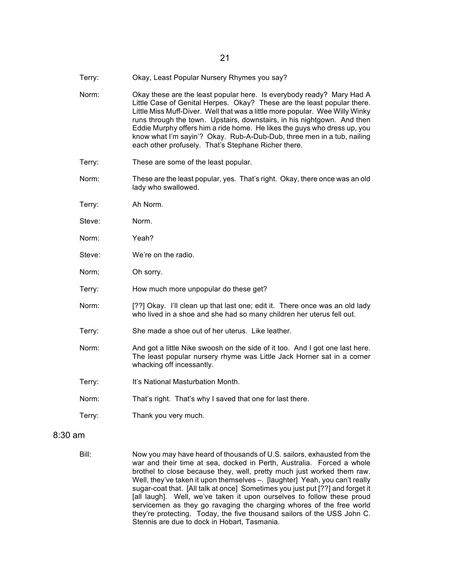- Terry: Okay, Least Popular Nursery Rhymes you say?
- Norm: Okay these are the least popular here. Is everybody ready? Mary Had A Little Case of Genital Herpes. Okay? These are the least popular there. Little Miss Muff-Diver. Well that was a little more popular. Wee Willy Winky runs through the town. Upstairs, downstairs, in his nightgown. And then Eddie Murphy offers him a ride home. He likes the guys who dress up, you know what I'm sayin'? Okay. Rub-A-Dub-Dub, three men in a tub, nailing each other profusely. That's Stephane Richer there.
- Terry: These are some of the least popular.
- Norm: These are the least popular, yes. That's right. Okay, there once was an old lady who swallowed.
- Terry: Ah Norm.
- Steve: Norm.
- Norm: Yeah?
- Steve: We're on the radio.
- Norm; Oh sorry.
- Terry: How much more unpopular do these get?
- Norm: [??] Okay. I'll clean up that last one; edit it. There once was an old lady who lived in a shoe and she had so many children her uterus fell out.
- Terry: She made a shoe out of her uterus. Like leather.
- Norm: And got a little Nike swoosh on the side of it too. And I got one last here. The least popular nursery rhyme was Little Jack Horner sat in a corner whacking off incessantly.
- Terry: It's National Masturbation Month.
- Norm: That's right. That's why I saved that one for last there.
- Terry: Thank you very much.

#### 8:30 am

Bill: Now you may have heard of thousands of U.S. sailors, exhausted from the war and their time at sea, docked in Perth, Australia. Forced a whole brothel to close because they, well, pretty much just worked them raw. Well, they've taken it upon themselves -. [laughter] Yeah, you can't really sugar-coat that. [All talk at once] Sometimes you just put [??] and forget it [all laugh]. Well, we've taken it upon ourselves to follow these proud servicemen as they go ravaging the charging whores of the free world they're protecting. Today, the five thousand sailors of the USS John C. Stennis are due to dock in Hobart, Tasmania.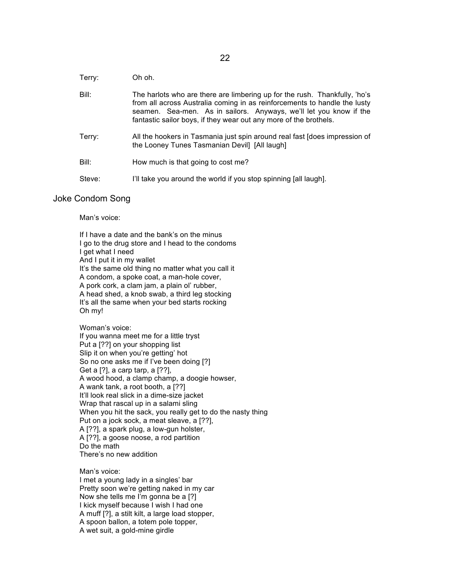- Terry: Oh oh.
- Bill: The harlots who are there are limbering up for the rush. Thankfully, 'ho's from all across Australia coming in as reinforcements to handle the lusty seamen. Sea-men. As in sailors. Anyways, we'll let you know if the fantastic sailor boys, if they wear out any more of the brothels.
- Terry: All the hookers in Tasmania just spin around real fast [does impression of the Looney Tunes Tasmanian Devil] [All laugh]
- Bill: How much is that going to cost me?
- Steve: I'll take you around the world if you stop spinning [all laugh].

#### Joke Condom Song

Man's voice:

If I have a date and the bank's on the minus I go to the drug store and I head to the condoms I get what I need And I put it in my wallet It's the same old thing no matter what you call it A condom, a spoke coat, a man-hole cover, A pork cork, a clam jam, a plain ol' rubber, A head shed, a knob swab, a third leg stocking It's all the same when your bed starts rocking Oh my!

Woman's voice: If you wanna meet me for a little tryst Put a [??] on your shopping list Slip it on when you're getting' hot So no one asks me if I've been doing [?] Get a [?], a carp tarp, a [??], A wood hood, a clamp champ, a doogie howser, A wank tank, a root booth, a [??] It'll look real slick in a dime-size jacket Wrap that rascal up in a salami sling When you hit the sack, you really get to do the nasty thing Put on a jock sock, a meat sleave, a [??], A [??], a spark plug, a low-gun holster, A [??], a goose noose, a rod partition Do the math There's no new addition

Man's voice:

I met a young lady in a singles' bar Pretty soon we're getting naked in my car Now she tells me I'm gonna be a [?] I kick myself because I wish I had one A muff [?], a stilt kilt, a large load stopper, A spoon ballon, a totem pole topper, A wet suit, a gold-mine girdle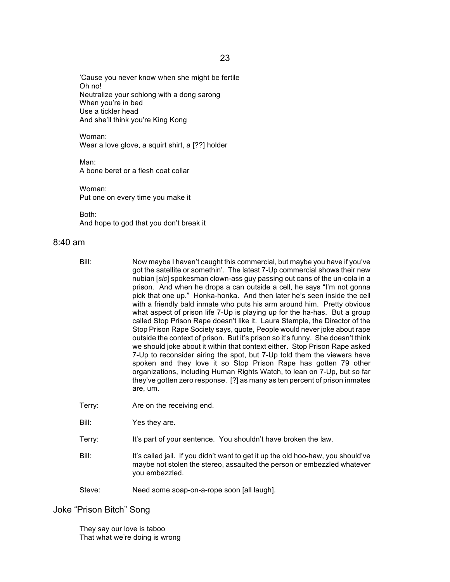'Cause you never know when she might be fertile Oh no! Neutralize your schlong with a dong sarong When you're in bed Use a tickler head And she'll think you're King Kong

Woman: Wear a love glove, a squirt shirt, a [??] holder

Man: A bone beret or a flesh coat collar

Woman: Put one on every time you make it

Both: And hope to god that you don't break it

#### 8:40 am

| Bill:<br>are, um. | Now maybe I haven't caught this commercial, but maybe you have if you've<br>got the satellite or somethin'. The latest 7-Up commercial shows their new<br>nubian [sic] spokesman clown-ass guy passing out cans of the un-cola in a<br>prison. And when he drops a can outside a cell, he says "I'm not gonna<br>pick that one up." Honka-honka. And then later he's seen inside the cell<br>with a friendly bald inmate who puts his arm around him. Pretty obvious<br>what aspect of prison life 7-Up is playing up for the ha-has. But a group<br>called Stop Prison Rape doesn't like it. Laura Stemple, the Director of the<br>Stop Prison Rape Society says, quote, People would never joke about rape<br>outside the context of prison. But it's prison so it's funny. She doesn't think<br>we should joke about it within that context either. Stop Prison Rape asked<br>7-Up to reconsider airing the spot, but 7-Up told them the viewers have<br>spoken and they love it so Stop Prison Rape has gotten 79 other<br>organizations, including Human Rights Watch, to lean on 7-Up, but so far<br>they've gotten zero response. [?] as many as ten percent of prison inmates |
|-------------------|---------------------------------------------------------------------------------------------------------------------------------------------------------------------------------------------------------------------------------------------------------------------------------------------------------------------------------------------------------------------------------------------------------------------------------------------------------------------------------------------------------------------------------------------------------------------------------------------------------------------------------------------------------------------------------------------------------------------------------------------------------------------------------------------------------------------------------------------------------------------------------------------------------------------------------------------------------------------------------------------------------------------------------------------------------------------------------------------------------------------------------------------------------------------------------------|
|-------------------|---------------------------------------------------------------------------------------------------------------------------------------------------------------------------------------------------------------------------------------------------------------------------------------------------------------------------------------------------------------------------------------------------------------------------------------------------------------------------------------------------------------------------------------------------------------------------------------------------------------------------------------------------------------------------------------------------------------------------------------------------------------------------------------------------------------------------------------------------------------------------------------------------------------------------------------------------------------------------------------------------------------------------------------------------------------------------------------------------------------------------------------------------------------------------------------|

Terry: Are on the receiving end.

Bill: Yes they are.

Terry: It's part of your sentence. You shouldn't have broken the law.

Bill: It's called jail. If you didn't want to get it up the old hoo-haw, you should've maybe not stolen the stereo, assaulted the person or embezzled whatever you embezzled.

Steve: Need some soap-on-a-rope soon [all laugh].

Joke "Prison Bitch" Song

They say our love is taboo That what we're doing is wrong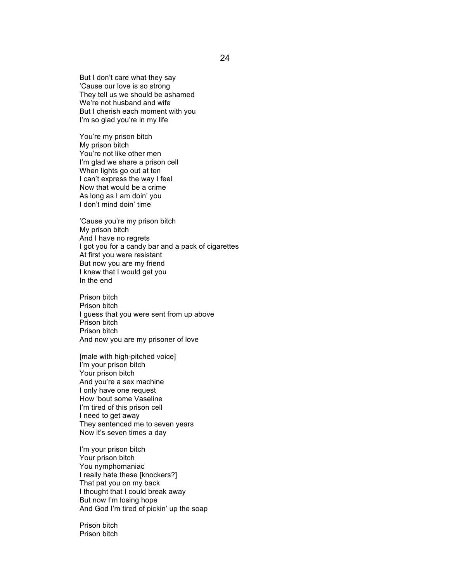But I don't care what they say 'Cause our love is so strong They tell us we should be ashamed We're not husband and wife But I cherish each moment with you I'm so glad you're in my life

You're my prison bitch My prison bitch You're not like other men I'm glad we share a prison cell When lights go out at ten I can't express the way I feel Now that would be a crime As long as I am doin' you I don't mind doin' time

'Cause you're my prison bitch My prison bitch And I have no regrets I got you for a candy bar and a pack of cigarettes At first you were resistant But now you are my friend I knew that I would get you In the end

Prison bitch Prison bitch I guess that you were sent from up above Prison bitch Prison bitch And now you are my prisoner of love

[male with high-pitched voice] I'm your prison bitch Your prison bitch And you're a sex machine I only have one request How 'bout some Vaseline I'm tired of this prison cell I need to get away They sentenced me to seven years Now it's seven times a day

I'm your prison bitch Your prison bitch You nymphomaniac I really hate these [knockers?] That pat you on my back I thought that I could break away But now I'm losing hope And God I'm tired of pickin' up the soap

Prison bitch Prison bitch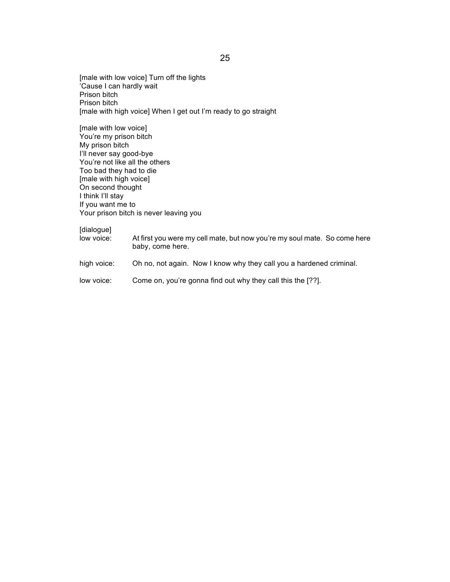[male with low voice] Turn off the lights 'Cause I can hardly wait Prison bitch Prison bitch [male with high voice] When I get out I'm ready to go straight

[male with low voice] You're my prison bitch My prison bitch I'll never say good-bye You're not like all the others Too bad they had to die [male with high voice] On second thought I think I'll stay If you want me to Your prison bitch is never leaving you

[dialogue]

- low voice: At first you were my cell mate, but now you're my soul mate. So come here baby, come here.
- high voice: Oh no, not again. Now I know why they call you a hardened criminal.
- low voice: Come on, you're gonna find out why they call this the [??].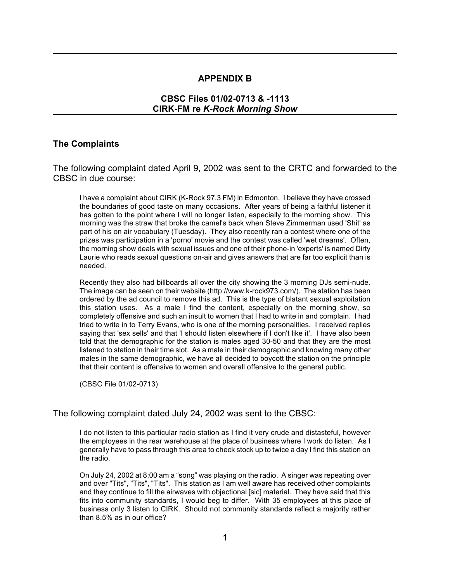#### **APPENDIX B**

### **CBSC Files 01/02-0713 & -1113 CIRK-FM re** *K-Rock Morning Show*

#### **The Complaints**

The following complaint dated April 9, 2002 was sent to the CRTC and forwarded to the CBSC in due course:

I have a complaint about CIRK (K-Rock 97.3 FM) in Edmonton. I believe they have crossed the boundaries of good taste on many occasions. After years of being a faithful listener it has gotten to the point where I will no longer listen, especially to the morning show. This morning was the straw that broke the camel's back when Steve Zimmerman used 'Shit' as part of his on air vocabulary (Tuesday). They also recently ran a contest where one of the prizes was participation in a 'porno' movie and the contest was called 'wet dreams'. Often, the morning show deals with sexual issues and one of their phone-in 'experts' is named Dirty Laurie who reads sexual questions on-air and gives answers that are far too explicit than is needed.

Recently they also had billboards all over the city showing the 3 morning DJs semi-nude. The image can be seen on their website (http://www.k-rock973.com/). The station has been ordered by the ad council to remove this ad. This is the type of blatant sexual exploitation this station uses. As a male I find the content, especially on the morning show, so completely offensive and such an insult to women that I had to write in and complain. I had tried to write in to Terry Evans, who is one of the morning personalities. I received replies saying that 'sex sells' and that 'I should listen elsewhere if I don't like it'. I have also been told that the demographic for the station is males aged 30-50 and that they are the most listened to station in their time slot. As a male in their demographic and knowing many other males in the same demographic, we have all decided to boycott the station on the principle that their content is offensive to women and overall offensive to the general public.

(CBSC File 01/02-0713)

#### The following complaint dated July 24, 2002 was sent to the CBSC:

I do not listen to this particular radio station as I find it very crude and distasteful, however the employees in the rear warehouse at the place of business where I work do listen. As I generally have to pass through this area to check stock up to twice a day I find this station on the radio.

On July 24, 2002 at 8:00 am a "song" was playing on the radio. A singer was repeating over and over "Tits", "Tits", "Tits". This station as I am well aware has received other complaints and they continue to fill the airwaves with objectional [sic] material. They have said that this fits into community standards, I would beg to differ. With 35 employees at this place of business only 3 listen to CIRK. Should not community standards reflect a majority rather than 8.5% as in our office?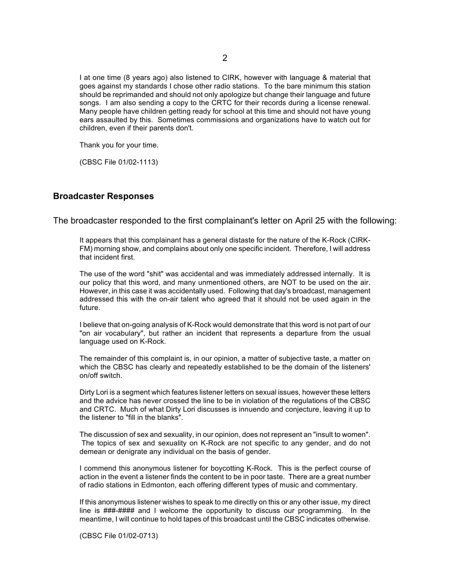I at one time (8 years ago) also listened to CIRK, however with language & material that goes against my standards I chose other radio stations. To the bare minimum this station should be reprimanded and should not only apologize but change their language and future songs. I am also sending a copy to the CRTC for their records during a license renewal. Many people have children getting ready for school at this time and should not have young ears assaulted by this. Sometimes commissions and organizations have to watch out for children, even if their parents don't.

Thank you for your time.

(CBSC File 01/02-1113)

#### **Broadcaster Responses**

The broadcaster responded to the first complainant's letter on April 25 with the following:

It appears that this complainant has a general distaste for the nature of the K-Rock (CIRK-FM) morning show, and complains about only one specific incident. Therefore, I will address that incident first.

The use of the word "shit" was accidental and was immediately addressed internally. It is our policy that this word, and many unmentioned others, are NOT to be used on the air. However, in this case it was accidentally used. Following that day's broadcast, management addressed this with the on-air talent who agreed that it should not be used again in the future.

I believe that on-going analysis of K-Rock would demonstrate that this word is not part of our "on air vocabulary", but rather an incident that represents a departure from the usual language used on K-Rock.

The remainder of this complaint is, in our opinion, a matter of subjective taste, a matter on which the CBSC has clearly and repeatedly established to be the domain of the listeners' on/off switch.

Dirty Lori is a segment which features listener letters on sexual issues, however these letters and the advice has never crossed the line to be in violation of the regulations of the CBSC and CRTC. Much of what Dirty Lori discusses is innuendo and conjecture, leaving it up to the listener to "fill in the blanks".

The discussion of sex and sexuality, in our opinion, does not represent an "insult to women". The topics of sex and sexuality on K-Rock are not specific to any gender, and do not demean or denigrate any individual on the basis of gender.

I commend this anonymous listener for boycotting K-Rock. This is the perfect course of action in the event a listener finds the content to be in poor taste. There are a great number of radio stations in Edmonton, each offering different types of music and commentary.

If this anonymous listener wishes to speak to me directly on this or any other issue, my direct line is ###-#### and I welcome the opportunity to discuss our programming. In the meantime, I will continue to hold tapes of this broadcast until the CBSC indicates otherwise.

(CBSC File 01/02-0713)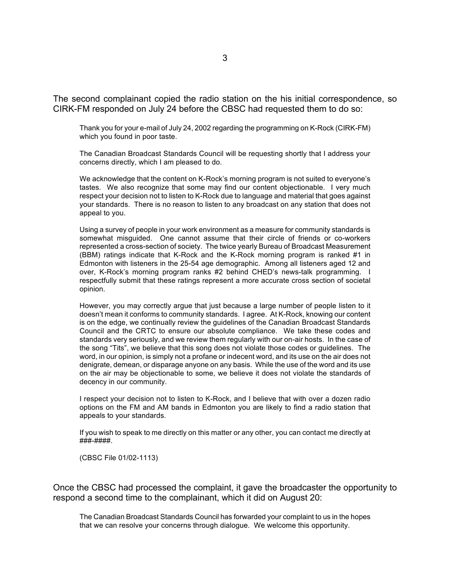The second complainant copied the radio station on the his initial correspondence, so CIRK-FM responded on July 24 before the CBSC had requested them to do so:

Thank you for your e-mail of July 24, 2002 regarding the programming on K-Rock (CIRK-FM) which you found in poor taste.

The Canadian Broadcast Standards Council will be requesting shortly that I address your concerns directly, which I am pleased to do.

We acknowledge that the content on K-Rock's morning program is not suited to everyone's tastes. We also recognize that some may find our content objectionable. I very much respect your decision not to listen to K-Rock due to language and material that goes against your standards. There is no reason to listen to any broadcast on any station that does not appeal to you.

Using a survey of people in your work environment as a measure for community standards is somewhat misguided. One cannot assume that their circle of friends or co-workers represented a cross-section of society. The twice yearly Bureau of Broadcast Measurement (BBM) ratings indicate that K-Rock and the K-Rock morning program is ranked #1 in Edmonton with listeners in the 25-54 age demographic. Among all listeners aged 12 and over, K-Rock's morning program ranks #2 behind CHED's news-talk programming. I respectfully submit that these ratings represent a more accurate cross section of societal opinion.

However, you may correctly argue that just because a large number of people listen to it doesn't mean it conforms to community standards. I agree. At K-Rock, knowing our content is on the edge, we continually review the guidelines of the Canadian Broadcast Standards Council and the CRTC to ensure our absolute compliance. We take these codes and standards very seriously, and we review them regularly with our on-air hosts. In the case of the song "Tits", we believe that this song does not violate those codes or guidelines. The word, in our opinion, is simply not a profane or indecent word, and its use on the air does not denigrate, demean, or disparage anyone on any basis. While the use of the word and its use on the air may be objectionable to some, we believe it does not violate the standards of decency in our community.

I respect your decision not to listen to K-Rock, and I believe that with over a dozen radio options on the FM and AM bands in Edmonton you are likely to find a radio station that appeals to your standards.

If you wish to speak to me directly on this matter or any other, you can contact me directly at ###-####.

(CBSC File 01/02-1113)

Once the CBSC had processed the complaint, it gave the broadcaster the opportunity to respond a second time to the complainant, which it did on August 20:

The Canadian Broadcast Standards Council has forwarded your complaint to us in the hopes that we can resolve your concerns through dialogue. We welcome this opportunity.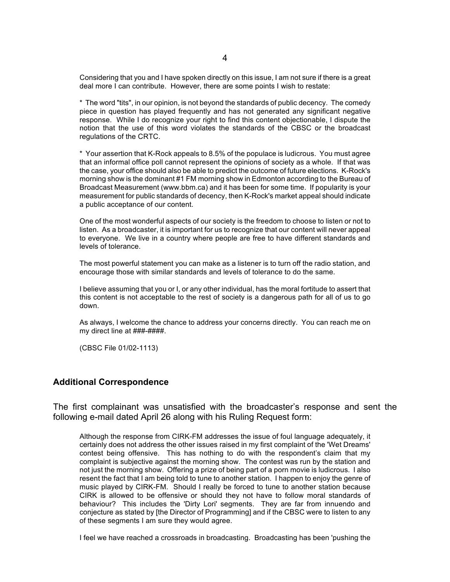Considering that you and I have spoken directly on this issue, I am not sure if there is a great deal more I can contribute. However, there are some points I wish to restate:

\* The word "tits", in our opinion, is not beyond the standards of public decency. The comedy piece in question has played frequently and has not generated any significant negative response. While I do recognize your right to find this content objectionable, I dispute the notion that the use of this word violates the standards of the CBSC or the broadcast regulations of the CRTC.

\* Your assertion that K-Rock appeals to 8.5% of the populace is ludicrous. You must agree that an informal office poll cannot represent the opinions of society as a whole. If that was the case, your office should also be able to predict the outcome of future elections. K-Rock's morning show is the dominant #1 FM morning show in Edmonton according to the Bureau of Broadcast Measurement (www.bbm.ca) and it has been for some time. If popularity is your measurement for public standards of decency, then K-Rock's market appeal should indicate a public acceptance of our content.

One of the most wonderful aspects of our society is the freedom to choose to listen or not to listen. As a broadcaster, it is important for us to recognize that our content will never appeal to everyone. We live in a country where people are free to have different standards and levels of tolerance.

The most powerful statement you can make as a listener is to turn off the radio station, and encourage those with similar standards and levels of tolerance to do the same.

I believe assuming that you or I, or any other individual, has the moral fortitude to assert that this content is not acceptable to the rest of society is a dangerous path for all of us to go down.

As always, I welcome the chance to address your concerns directly. You can reach me on my direct line at ###-####.

(CBSC File 01/02-1113)

#### **Additional Correspondence**

The first complainant was unsatisfied with the broadcaster's response and sent the following e-mail dated April 26 along with his Ruling Request form:

Although the response from CIRK-FM addresses the issue of foul language adequately, it certainly does not address the other issues raised in my first complaint of the 'Wet Dreams' contest being offensive. This has nothing to do with the respondent's claim that my complaint is subjective against the morning show. The contest was run by the station and not just the morning show. Offering a prize of being part of a porn movie is ludicrous. I also resent the fact that I am being told to tune to another station. I happen to enjoy the genre of music played by CIRK-FM. Should I really be forced to tune to another station because CIRK is allowed to be offensive or should they not have to follow moral standards of behaviour? This includes the 'Dirty Lori' segments. They are far from innuendo and conjecture as stated by [the Director of Programming] and if the CBSC were to listen to any of these segments I am sure they would agree.

I feel we have reached a crossroads in broadcasting. Broadcasting has been 'pushing the